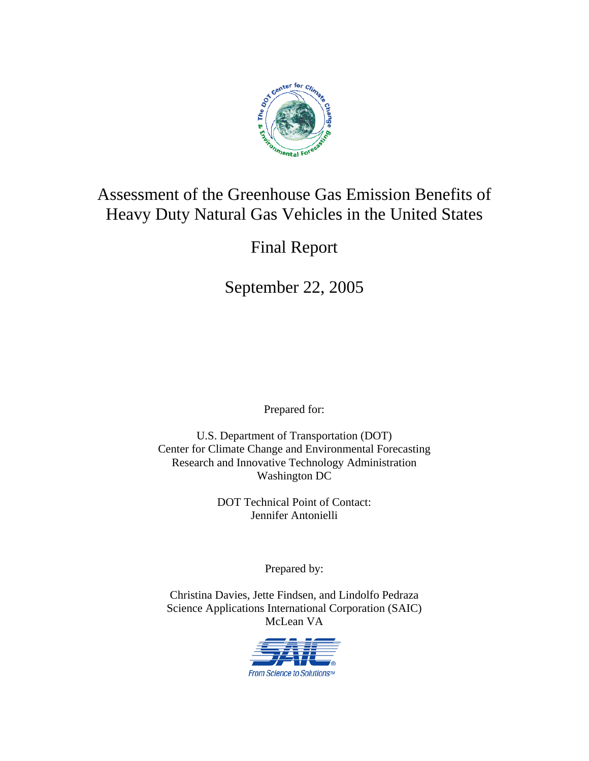

# Assessment of the Greenhouse Gas Emission Benefits of Heavy Duty Natural Gas Vehicles in the United States

# Final Report

September 22, 2005

Prepared for:

U.S. Department of Transportation (DOT) Center for Climate Change and Environmental Forecasting Research and Innovative Technology Administration Washington DC

> DOT Technical Point of Contact: Jennifer Antonielli

> > Prepared by:

Christina Davies, Jette Findsen, and Lindolfo Pedraza Science Applications International Corporation (SAIC) McLean VA

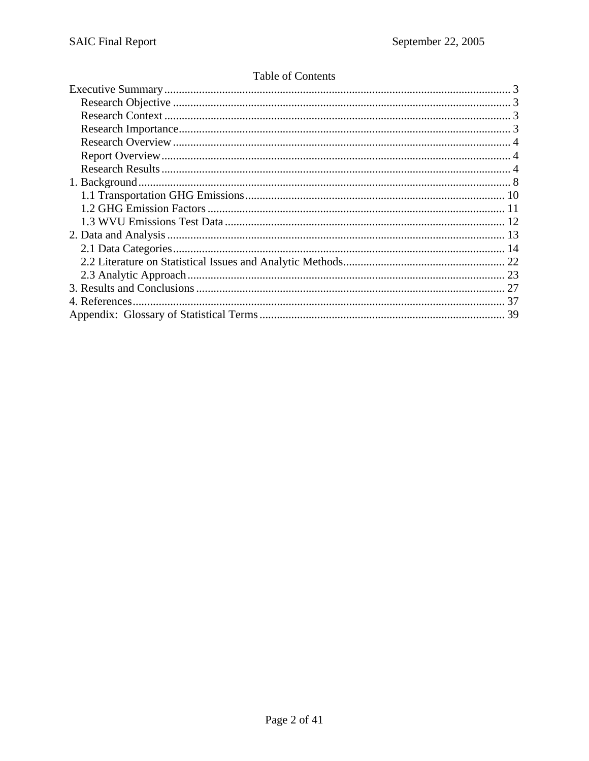## Table of Contents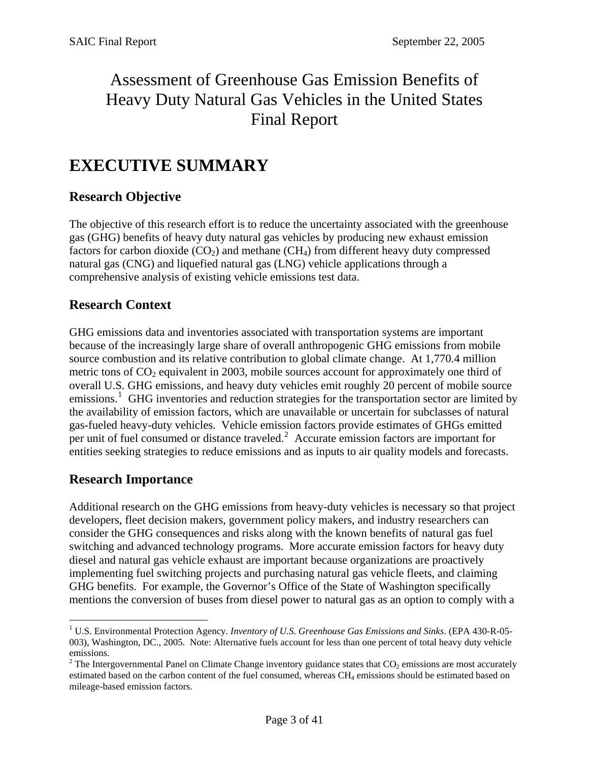# Assessment of Greenhouse Gas Emission Benefits of Heavy Duty Natural Gas Vehicles in the United States Final Report

# **EXECUTIVE SUMMARY**

## **Research Objective**

The objective of this research effort is to reduce the uncertainty associated with the greenhouse gas (GHG) benefits of heavy duty natural gas vehicles by producing new exhaust emission factors for carbon dioxide  $(CO<sub>2</sub>)$  and methane  $(CH<sub>4</sub>)$  from different heavy duty compressed natural gas (CNG) and liquefied natural gas (LNG) vehicle applications through a comprehensive analysis of existing vehicle emissions test data.

## **Research Context**

GHG emissions data and inventories associated with transportation systems are important because of the increasingly large share of overall anthropogenic GHG emissions from mobile source combustion and its relative contribution to global climate change. At 1,770.4 million metric tons of  $CO<sub>2</sub>$  equivalent in 2003, mobile sources account for approximately one third of overall U.S. GHG emissions, and heavy duty vehicles emit roughly 20 percent of mobile source emissions.<sup>[1](#page-2-0)</sup> GHG inventories and reduction strategies for the transportation sector are limited by the availability of emission factors, which are unavailable or uncertain for subclasses of natural gas-fueled heavy-duty vehicles. Vehicle emission factors provide estimates of GHGs emitted per unit of fuel consumed or distance traveled.<sup>[2](#page-2-1)</sup> Accurate emission factors are important for entities seeking strategies to reduce emissions and as inputs to air quality models and forecasts.

## **Research Importance**

 $\overline{a}$ 

Additional research on the GHG emissions from heavy-duty vehicles is necessary so that project developers, fleet decision makers, government policy makers, and industry researchers can consider the GHG consequences and risks along with the known benefits of natural gas fuel switching and advanced technology programs. More accurate emission factors for heavy duty diesel and natural gas vehicle exhaust are important because organizations are proactively implementing fuel switching projects and purchasing natural gas vehicle fleets, and claiming GHG benefits. For example, the Governor's Office of the State of Washington specifically mentions the conversion of buses from diesel power to natural gas as an option to comply with a

<span id="page-2-0"></span><sup>&</sup>lt;sup>1</sup> U.S. Environmental Protection Agency. *Inventory of U.S. Greenhouse Gas Emissions and Sinks*. (EPA 430-R-05-003), Washington, DC., 2005. Note: Alternative fuels account for less than one percent of total heavy duty vehicle emissions.

<span id="page-2-1"></span><sup>&</sup>lt;sup>2</sup> The Intergovernmental Panel on Climate Change inventory guidance states that  $CO_2$  emissions are most accurately estimated based on the carbon content of the fuel consumed, whereas CH4 emissions should be estimated based on mileage-based emission factors.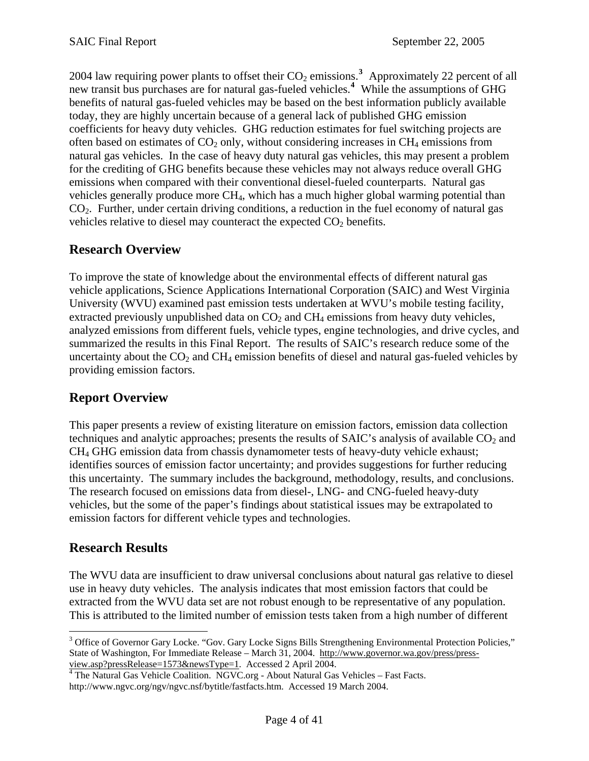<span id="page-3-0"></span>2004 law requiring power plants to offset their  $CO_2$  emissions.<sup>[3](#page-3-1)</sup> Approximately 22 percent of all new transit bus purchases are for natural gas-fueled vehicles.**[4](#page-3-2)** While the assumptions of GHG benefits of natural gas-fueled vehicles may be based on the best information publicly available today, they are highly uncertain because of a general lack of published GHG emission coefficients for heavy duty vehicles. GHG reduction estimates for fuel switching projects are often based on estimates of  $CO<sub>2</sub>$  only, without considering increases in CH<sub>4</sub> emissions from natural gas vehicles. In the case of heavy duty natural gas vehicles, this may present a problem for the crediting of GHG benefits because these vehicles may not always reduce overall GHG emissions when compared with their conventional diesel-fueled counterparts. Natural gas vehicles generally produce more CH4, which has a much higher global warming potential than  $CO<sub>2</sub>$ . Further, under certain driving conditions, a reduction in the fuel economy of natural gas vehicles relative to diesel may counteract the expected  $CO<sub>2</sub>$  benefits.

## **Research Overview**

To improve the state of knowledge about the environmental effects of different natural gas vehicle applications, Science Applications International Corporation (SAIC) and West Virginia University (WVU) examined past emission tests undertaken at WVU's mobile testing facility, extracted previously unpublished data on  $CO<sub>2</sub>$  and  $CH<sub>4</sub>$  emissions from heavy duty vehicles, analyzed emissions from different fuels, vehicle types, engine technologies, and drive cycles, and summarized the results in this Final Report. The results of SAIC's research reduce some of the uncertainty about the  $CO<sub>2</sub>$  and  $CH<sub>4</sub>$  emission benefits of diesel and natural gas-fueled vehicles by providing emission factors.

## **Report Overview**

This paper presents a review of existing literature on emission factors, emission data collection techniques and analytic approaches; presents the results of SAIC's analysis of available  $CO<sub>2</sub>$  and CH4 GHG emission data from chassis dynamometer tests of heavy-duty vehicle exhaust; identifies sources of emission factor uncertainty; and provides suggestions for further reducing this uncertainty. The summary includes the background, methodology, results, and conclusions. The research focused on emissions data from diesel-, LNG- and CNG-fueled heavy-duty vehicles, but the some of the paper's findings about statistical issues may be extrapolated to emission factors for different vehicle types and technologies.

## **Research Results**

 $\overline{a}$ 

The WVU data are insufficient to draw universal conclusions about natural gas relative to diesel use in heavy duty vehicles. The analysis indicates that most emission factors that could be extracted from the WVU data set are not robust enough to be representative of any population. This is attributed to the limited number of emission tests taken from a high number of different

<span id="page-3-1"></span><sup>&</sup>lt;sup>3</sup> Office of Governor Gary Locke. "Gov. Gary Locke Signs Bills Strengthening Environmental Protection Policies," State of Washington, For Immediate Release – March 31, 2004. [http://www.governor.wa.gov/press/press-](http://www.governor.wa.gov/press/press-view.asp?pressRelease=1573&newsType=1)

<span id="page-3-2"></span>[view.asp?pressRelease=1573&newsType=1.](http://www.governor.wa.gov/press/press-view.asp?pressRelease=1573&newsType=1) Accessed 2 April 200[4](http://www.governor.wa.gov/press/press-view.asp?pressRelease=1573&newsType=1).<br><sup>4</sup> The Natural Gas Vehicle Coalition. NGVC.org - About Natural Gas Vehicles – Fast Facts. http://www.ngvc.org/ngv/ngvc.nsf/bytitle/fastfacts.htm. Accessed 19 March 2004.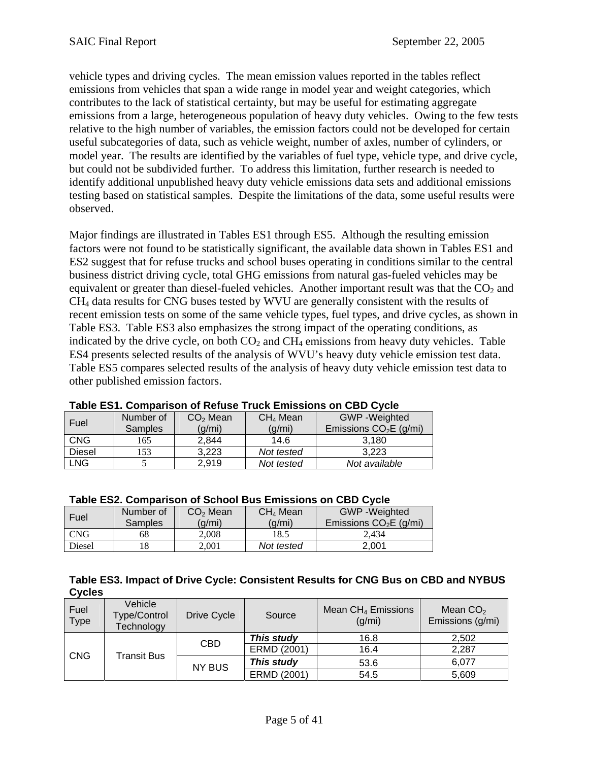vehicle types and driving cycles. The mean emission values reported in the tables reflect emissions from vehicles that span a wide range in model year and weight categories, which contributes to the lack of statistical certainty, but may be useful for estimating aggregate emissions from a large, heterogeneous population of heavy duty vehicles. Owing to the few tests relative to the high number of variables, the emission factors could not be developed for certain useful subcategories of data, such as vehicle weight, number of axles, number of cylinders, or model year. The results are identified by the variables of fuel type, vehicle type, and drive cycle, but could not be subdivided further. To address this limitation, further research is needed to identify additional unpublished heavy duty vehicle emissions data sets and additional emissions testing based on statistical samples. Despite the limitations of the data, some useful results were observed.

Major findings are illustrated in Tables ES1 through ES5. Although the resulting emission factors were not found to be statistically significant, the available data shown in Tables ES1 and ES2 suggest that for refuse trucks and school buses operating in conditions similar to the central business district driving cycle, total GHG emissions from natural gas-fueled vehicles may be equivalent or greater than diesel-fueled vehicles. Another important result was that the  $CO<sub>2</sub>$  and CH4 data results for CNG buses tested by WVU are generally consistent with the results of recent emission tests on some of the same vehicle types, fuel types, and drive cycles, as shown in Table ES3. Table ES3 also emphasizes the strong impact of the operating conditions, as indicated by the drive cycle, on both  $CO<sub>2</sub>$  and  $CH<sub>4</sub>$  emissions from heavy duty vehicles. Table ES4 presents selected results of the analysis of WVU's heavy duty vehicle emission test data. Table ES5 compares selected results of the analysis of heavy duty vehicle emission test data to other published emission factors.

|               | I GMIY EVTI VVIIINGI IVVII VI TVJIGUV TI GUIL EIIIIVVIVIIV VII V <i>ed v</i> tviv |        |                      |                         |  |  |  |  |  |  |
|---------------|-----------------------------------------------------------------------------------|--------|----------------------|-------------------------|--|--|--|--|--|--|
|               | $CO2$ Mean<br>Number of                                                           |        | CH <sub>4</sub> Mean | <b>GWP</b> - Weighted   |  |  |  |  |  |  |
| Fuel          | <b>Samples</b>                                                                    | (g/mi) | (g/mi)               | Emissions $CO2E$ (g/mi) |  |  |  |  |  |  |
| <b>CNG</b>    | 165                                                                               | 2,844  | 14.6                 | 3.180                   |  |  |  |  |  |  |
| <b>Diesel</b> | 153                                                                               | 3,223  | Not tested           | 3.223                   |  |  |  |  |  |  |
| <b>LNG</b>    |                                                                                   | 2,919  | Not tested           | Not available           |  |  |  |  |  |  |

#### **Table ES1. Comparison of Refuse Truck Emissions on CBD Cycle**

#### **Table ES2. Comparison of School Bus Emissions on CBD Cycle**

| Fuel       | Number of<br>Samples | $CO2$ Mean<br>(q/mi) | CH <sub>4</sub> Mean<br>(g/mi) | <b>GWP</b> -Weighted<br>Emissions $CO2E$ (g/mi) |
|------------|----------------------|----------------------|--------------------------------|-------------------------------------------------|
| <b>CNG</b> | 68                   | 2.008                | 18.5                           | 2.434                                           |
| Diesel     | 18                   | 2.001                | Not tested                     | 2.001                                           |

#### **Table ES3. Impact of Drive Cycle: Consistent Results for CNG Bus on CBD and NYBUS Cycles**

| Fuel<br><b>Type</b> | Vehicle<br><b>Type/Control</b><br>Technology | Drive Cycle   | Source      | Mean CH <sub>4</sub> Emissions<br>(q/mi) | Mean $CO2$<br>Emissions (g/mi) |
|---------------------|----------------------------------------------|---------------|-------------|------------------------------------------|--------------------------------|
|                     | Transit Bus                                  | <b>CBD</b>    | This study  | 16.8                                     | 2,502                          |
|                     |                                              |               | ERMD (2001) | 16.4                                     | 2,287                          |
| <b>CNG</b>          |                                              | <b>NY BUS</b> | This study  | 53.6                                     | 6,077                          |
|                     |                                              |               | ERMD (2001) | 54.5                                     | 5,609                          |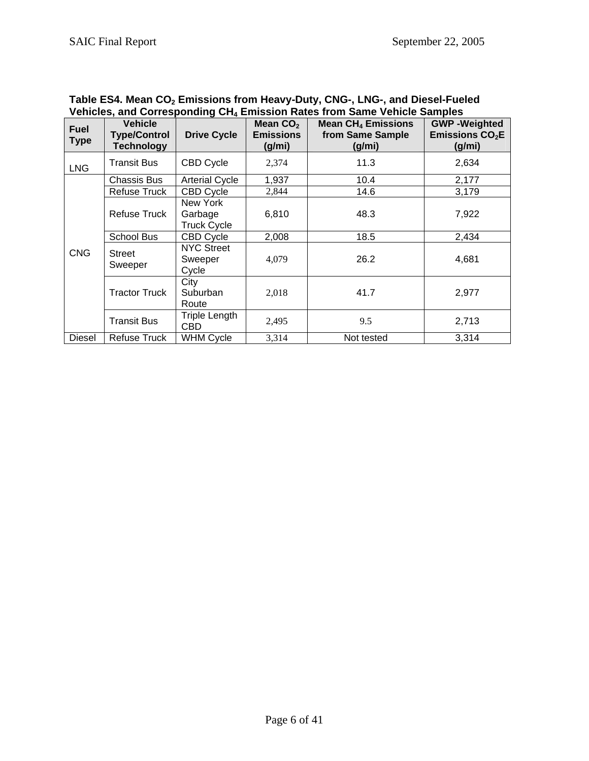| venicles, and Corresponding CH4 Emission Rates from Same venicle Samples |                                                     |                                           |                                          |                                                                    |                                                   |  |  |  |
|--------------------------------------------------------------------------|-----------------------------------------------------|-------------------------------------------|------------------------------------------|--------------------------------------------------------------------|---------------------------------------------------|--|--|--|
| <b>Fuel</b><br><b>Type</b>                                               | <b>Vehicle</b><br><b>Type/Control</b><br>Technology | <b>Drive Cycle</b>                        | Mean $CO2$<br><b>Emissions</b><br>(g/mi) | <b>Mean CH<sub>4</sub> Emissions</b><br>from Same Sample<br>(g/mi) | <b>GWP-Weighted</b><br>Emissions $CO2E$<br>(g/mi) |  |  |  |
| <b>LNG</b>                                                               | <b>Transit Bus</b>                                  | <b>CBD Cycle</b>                          | 2,374                                    | 11.3                                                               | 2,634                                             |  |  |  |
|                                                                          | <b>Chassis Bus</b>                                  | <b>Arterial Cycle</b>                     | 1,937                                    | 10.4                                                               | 2,177                                             |  |  |  |
|                                                                          | Refuse Truck                                        | <b>CBD Cycle</b>                          | 2,844                                    | 14.6                                                               | 3,179                                             |  |  |  |
|                                                                          | <b>Refuse Truck</b>                                 | New York<br>Garbage<br><b>Truck Cycle</b> | 6,810                                    | 48.3                                                               | 7,922                                             |  |  |  |
|                                                                          | <b>School Bus</b>                                   | <b>CBD Cycle</b>                          | 2,008                                    | 18.5                                                               | 2,434                                             |  |  |  |
| <b>CNG</b>                                                               | <b>Street</b><br>Sweeper                            | <b>NYC Street</b><br>Sweeper<br>Cycle     | 4,079                                    | 26.2                                                               | 4,681                                             |  |  |  |
|                                                                          | <b>Tractor Truck</b>                                | City<br>Suburban<br>Route                 | 2,018                                    | 41.7                                                               | 2,977                                             |  |  |  |
|                                                                          | <b>Transit Bus</b>                                  | Triple Length<br><b>CBD</b>               | 2,495                                    | 9.5                                                                | 2,713                                             |  |  |  |
| Diesel                                                                   | Refuse Truck                                        | WHM Cycle                                 | 3,314                                    | Not tested                                                         | 3,314                                             |  |  |  |

#### Table ES4. Mean CO<sub>2</sub> Emissions from Heavy-Duty, CNG-, LNG-, and Diesel-Fueled **Vehicles, and Corresponding CH4 Emission Rates from Same Vehicle Samples**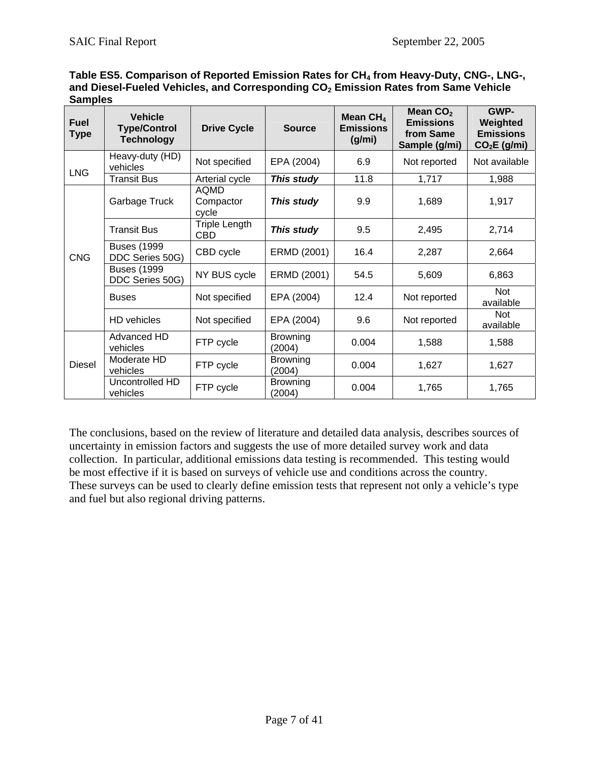|                | Table ES5. Comparison of Reported Emission Rates for CH <sub>4</sub> from Heavy-Duty, CNG-, LNG-, |  |  |  |
|----------------|---------------------------------------------------------------------------------------------------|--|--|--|
|                | and Diesel-Fueled Vehicles, and Corresponding $CO2$ Emission Rates from Same Vehicle              |  |  |  |
| <b>Samples</b> |                                                                                                   |  |  |  |
|                |                                                                                                   |  |  |  |

| <b>Fuel</b><br><b>Type</b> | <b>Vehicle</b><br><b>Type/Control</b><br><b>Technology</b> | <b>Drive Cycle</b>          | <b>Source</b>             | Mean $CH4$<br><b>Emissions</b><br>(g/mi) | Mean $CO2$<br><b>Emissions</b><br>from Same<br>Sample (g/mi) | GWP-<br>Weighted<br><b>Emissions</b><br>$CO2E$ (g/mi) |
|----------------------------|------------------------------------------------------------|-----------------------------|---------------------------|------------------------------------------|--------------------------------------------------------------|-------------------------------------------------------|
| <b>LNG</b>                 | Heavy-duty (HD)<br>vehicles                                | Not specified               | EPA (2004)                | 6.9                                      | Not reported                                                 | Not available                                         |
|                            | <b>Transit Bus</b>                                         | Arterial cycle              | This study                | 11.8                                     | 1,717                                                        | 1,988                                                 |
|                            | Garbage Truck                                              | AQMD<br>Compactor<br>cycle  | This study                | 9.9                                      | 1,689                                                        | 1,917                                                 |
|                            | Transit Bus                                                | Triple Length<br><b>CBD</b> | This study                | 9.5                                      | 2,495                                                        | 2,714                                                 |
| <b>CNG</b>                 | <b>Buses (1999</b><br>DDC Series 50G)                      | CBD cycle                   | ERMD (2001)<br>16.4       |                                          | 2,287                                                        | 2,664                                                 |
|                            | <b>Buses (1999</b><br>DDC Series 50G)                      | NY BUS cycle<br>ERMD (2001) |                           | 54.5                                     | 5,609                                                        | 6,863                                                 |
|                            | <b>Buses</b>                                               | Not specified               | EPA (2004)                | 12.4                                     | Not reported                                                 | Not<br>available                                      |
|                            | HD vehicles                                                | Not specified               | EPA (2004)                | 9.6                                      | Not reported                                                 | Not<br>available                                      |
|                            | Advanced HD<br>vehicles                                    | FTP cycle                   | <b>Browning</b><br>(2004) | 0.004                                    | 1,588                                                        | 1,588                                                 |
| <b>Diesel</b>              | Moderate HD<br>vehicles                                    | FTP cycle                   | <b>Browning</b><br>(2004) | 0.004                                    | 1,627                                                        | 1,627                                                 |
|                            | Uncontrolled HD<br>vehicles                                | FTP cycle                   | <b>Browning</b><br>(2004) | 0.004                                    | 1,765                                                        | 1,765                                                 |

The conclusions, based on the review of literature and detailed data analysis, describes sources of uncertainty in emission factors and suggests the use of more detailed survey work and data collection. In particular, additional emissions data testing is recommended. This testing would be most effective if it is based on surveys of vehicle use and conditions across the country. These surveys can be used to clearly define emission tests that represent not only a vehicle's type and fuel but also regional driving patterns.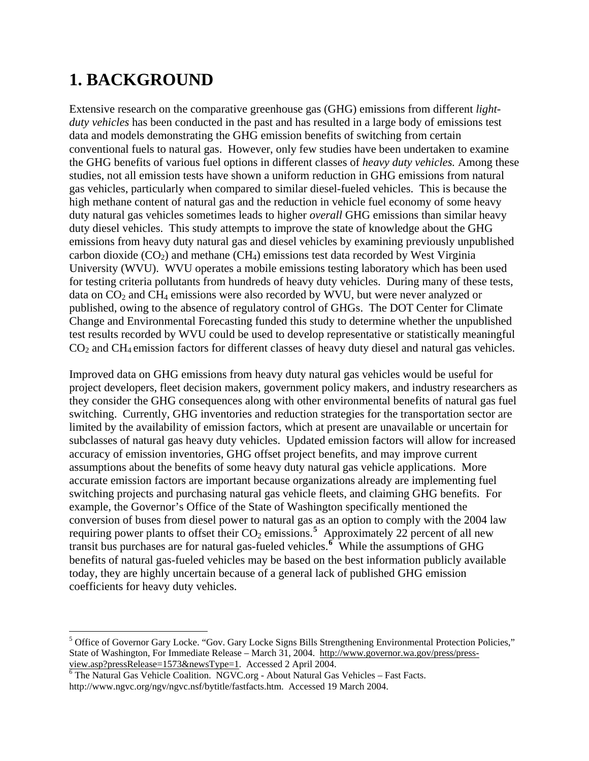# **1. BACKGROUND**

 $\overline{a}$ 

Extensive research on the comparative greenhouse gas (GHG) emissions from different *lightduty vehicles* has been conducted in the past and has resulted in a large body of emissions test data and models demonstrating the GHG emission benefits of switching from certain conventional fuels to natural gas. However, only few studies have been undertaken to examine the GHG benefits of various fuel options in different classes of *heavy duty vehicles.* Among these studies, not all emission tests have shown a uniform reduction in GHG emissions from natural gas vehicles, particularly when compared to similar diesel-fueled vehicles. This is because the high methane content of natural gas and the reduction in vehicle fuel economy of some heavy duty natural gas vehicles sometimes leads to higher *overall* GHG emissions than similar heavy duty diesel vehicles. This study attempts to improve the state of knowledge about the GHG emissions from heavy duty natural gas and diesel vehicles by examining previously unpublished carbon dioxide  $(CO<sub>2</sub>)$  and methane  $(CH<sub>4</sub>)$  emissions test data recorded by West Virginia University (WVU). WVU operates a mobile emissions testing laboratory which has been used for testing criteria pollutants from hundreds of heavy duty vehicles. During many of these tests, data on  $CO<sub>2</sub>$  and  $CH<sub>4</sub>$  emissions were also recorded by WVU, but were never analyzed or published, owing to the absence of regulatory control of GHGs. The DOT Center for Climate Change and Environmental Forecasting funded this study to determine whether the unpublished test results recorded by WVU could be used to develop representative or statistically meaningful CO2 and CH4 emission factors for different classes of heavy duty diesel and natural gas vehicles.

Improved data on GHG emissions from heavy duty natural gas vehicles would be useful for project developers, fleet decision makers, government policy makers, and industry researchers as they consider the GHG consequences along with other environmental benefits of natural gas fuel switching. Currently, GHG inventories and reduction strategies for the transportation sector are limited by the availability of emission factors, which at present are unavailable or uncertain for subclasses of natural gas heavy duty vehicles. Updated emission factors will allow for increased accuracy of emission inventories, GHG offset project benefits, and may improve current assumptions about the benefits of some heavy duty natural gas vehicle applications. More accurate emission factors are important because organizations already are implementing fuel switching projects and purchasing natural gas vehicle fleets, and claiming GHG benefits. For example, the Governor's Office of the State of Washington specifically mentioned the conversion of buses from diesel power to natural gas as an option to comply with the 2004 law requiring power plants to offset their  $CO_2$  emissions.<sup>[5](#page-7-0)</sup> Approximately 22 percent of all new transit bus purchases are for natural gas-fueled vehicles.**[6](#page-7-1)** While the assumptions of GHG benefits of natural gas-fueled vehicles may be based on the best information publicly available today, they are highly uncertain because of a general lack of published GHG emission coefficients for heavy duty vehicles.

<span id="page-7-0"></span><sup>&</sup>lt;sup>5</sup> Office of Governor Gary Locke. "Gov. Gary Locke Signs Bills Strengthening Environmental Protection Policies," State of Washington, For Immediate Release – March 31, 2004. [http://www.governor.wa.gov/press/press-](http://www.governor.wa.gov/press/press-view.asp?pressRelease=1573&newsType=1)

<span id="page-7-1"></span>[view.asp?pressRelease=1573&newsType=1.](http://www.governor.wa.gov/press/press-view.asp?pressRelease=1573&newsType=1) Accessed 2 April 2004.<br><sup>[6](http://www.governor.wa.gov/press/press-view.asp?pressRelease=1573&newsType=1)</sup> The Natural Gas Vehicle Coalition. NGVC.org - About Natural Gas Vehicles – Fast Facts. http://www.ngvc.org/ngv/ngvc.nsf/bytitle/fastfacts.htm. Accessed 19 March 2004.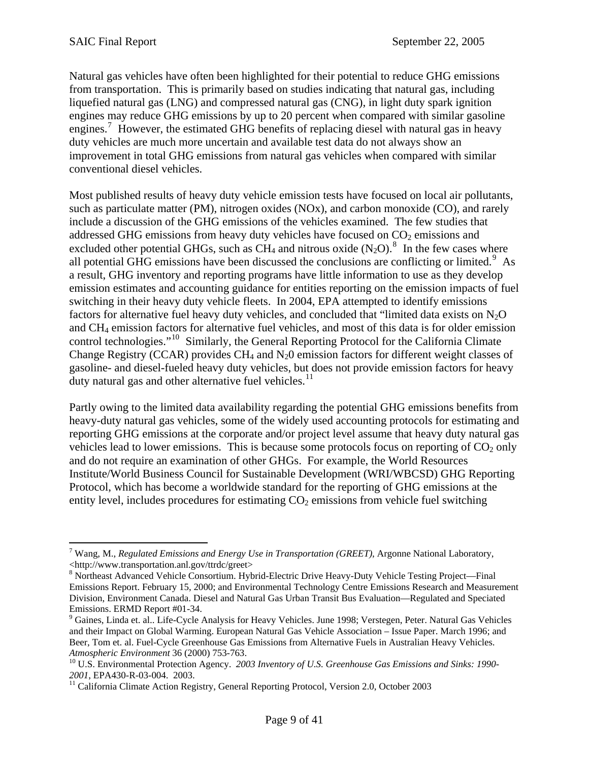Natural gas vehicles have often been highlighted for their potential to reduce GHG emissions from transportation. This is primarily based on studies indicating that natural gas, including liquefied natural gas (LNG) and compressed natural gas (CNG), in light duty spark ignition engines may reduce GHG emissions by up to 20 percent when compared with similar gasoline engines.<sup>[7](#page-8-0)</sup> However, the estimated GHG benefits of replacing diesel with natural gas in heavy duty vehicles are much more uncertain and available test data do not always show an improvement in total GHG emissions from natural gas vehicles when compared with similar conventional diesel vehicles.

Most published results of heavy duty vehicle emission tests have focused on local air pollutants, such as particulate matter (PM), nitrogen oxides (NOx), and carbon monoxide (CO), and rarely include a discussion of the GHG emissions of the vehicles examined. The few studies that addressed GHG emissions from heavy duty vehicles have focused on  $CO<sub>2</sub>$  emissions and excluded other potential GHGs, such as  $\overrightarrow{CH}_4$  and nitrous oxide  $(N_2O)$ .<sup>[8](#page-8-1)</sup> In the few cases where all potential GHG emissions have been discussed the conclusions are conflicting or limited.<sup>[9](#page-8-2)</sup> As a result, GHG inventory and reporting programs have little information to use as they develop emission estimates and accounting guidance for entities reporting on the emission impacts of fuel switching in their heavy duty vehicle fleets. In 2004, EPA attempted to identify emissions factors for alternative fuel heavy duty vehicles, and concluded that "limited data exists on  $N_2O$ and CH4 emission factors for alternative fuel vehicles, and most of this data is for older emission control technologies."[10](#page-8-3) Similarly, the General Reporting Protocol for the California Climate Change Registry (CCAR) provides  $CH_4$  and  $N_2$ 0 emission factors for different weight classes of gasoline- and diesel-fueled heavy duty vehicles, but does not provide emission factors for heavy duty natural gas and other alternative fuel vehicles.<sup>[11](#page-8-4)</sup>

Partly owing to the limited data availability regarding the potential GHG emissions benefits from heavy-duty natural gas vehicles, some of the widely used accounting protocols for estimating and reporting GHG emissions at the corporate and/or project level assume that heavy duty natural gas vehicles lead to lower emissions. This is because some protocols focus on reporting of  $CO<sub>2</sub>$  only and do not require an examination of other GHGs. For example, the World Resources Institute/World Business Council for Sustainable Development (WRI/WBCSD) GHG Reporting Protocol, which has become a worldwide standard for the reporting of GHG emissions at the entity level, includes procedures for estimating  $CO<sub>2</sub>$  emissions from vehicle fuel switching

<span id="page-8-0"></span> $\overline{a}$ 7 Wang, M., *Regulated Emissions and Energy Use in Transportation (GREET)*, Argonne National Laboratory, <http://www.transportation.anl.gov/ttrdc/greet>

<span id="page-8-1"></span><sup>&</sup>lt;sup>8</sup> Northeast Advanced Vehicle Consortium. Hybrid-Electric Drive Heavy-Duty Vehicle Testing Project—Final Emissions Report. February 15, 2000; and Environmental Technology Centre Emissions Research and Measurement Division, Environment Canada. Diesel and Natural Gas Urban Transit Bus Evaluation—Regulated and Speciated Emissions. ERMD Report #01-34.

<span id="page-8-2"></span><sup>&</sup>lt;sup>9</sup> Gaines, Linda et. al.. Life-Cycle Analysis for Heavy Vehicles. June 1998; Verstegen, Peter. Natural Gas Vehicles and their Impact on Global Warming. European Natural Gas Vehicle Association – Issue Paper. March 1996; and Beer, Tom et. al. Fuel-Cycle Greenhouse Gas Emissions from Alternative Fuels in Australian Heavy Vehicles.

<span id="page-8-3"></span>*Atmospheric Environment* 36 (2000) 753-763. 10 U.S. Environmental Protection Agency. *2003 Inventory of U.S. Greenhouse Gas Emissions and Sinks: 1990- <sup>2001</sup>*, EPA430-R-03-004. 2003. 11 California Climate Action Registry, General Reporting Protocol, Version 2.0, October 2003

<span id="page-8-4"></span>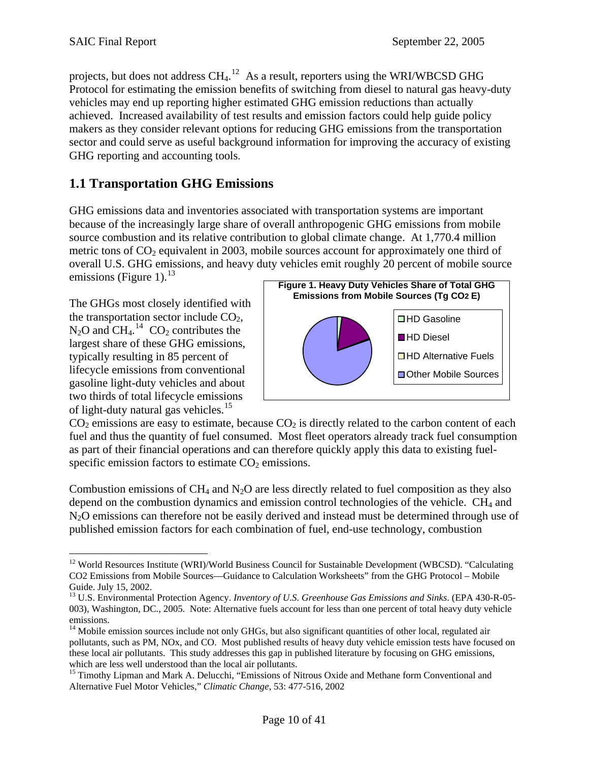projects, but does not address  $CH_4$ .<sup>[12](#page-9-0)</sup> As a result, reporters using the WRI/WBCSD GHG Protocol for estimating the emission benefits of switching from diesel to natural gas heavy-duty vehicles may end up reporting higher estimated GHG emission reductions than actually achieved. Increased availability of test results and emission factors could help guide policy makers as they consider relevant options for reducing GHG emissions from the transportation sector and could serve as useful background information for improving the accuracy of existing GHG reporting and accounting tools.

## **1.1 Transportation GHG Emissions**

GHG emissions data and inventories associated with transportation systems are important because of the increasingly large share of overall anthropogenic GHG emissions from mobile source combustion and its relative contribution to global climate change. At 1,770.4 million metric tons of  $CO<sub>2</sub>$  equivalent in 2003, mobile sources account for approximately one third of overall U.S. GHG emissions, and heavy duty vehicles emit roughly 20 percent of mobile source emissions (Figure 1). $^{13}$  $^{13}$  $^{13}$ 

The GHGs most closely identified w ith the transportation sector include CO 2, largest share of these GHG emissions, lifecycle emissions from conventional gasoline light-duty vehicles and about of light-duty natural gas vehicles. $15$  $N_2O$  and  $CH_4$ .<sup>[14](#page-9-2)</sup>  $CO_2$  contributes the typically resulting in 85 percent of two thirds of total lifecycle emissions

 $\overline{a}$ 



 $CO<sub>2</sub>$  emissions are easy to estimate, because  $CO<sub>2</sub>$  is directly related to the carbon content of each [fuel and thus the quantity of fuel consumed. Most fleet operators already track fuel consumption](#page-9-3)  [as part of their financial operations and can therefore quickly apply this data to existing fuel](#page-9-3)specific emission factors to estimate  $CO<sub>2</sub>$  emissions.

Combustion emissions of  $CH_4$  and  $N_2O$  are less directly related to fuel composition as they also depend on the combustion dynamics and emission control technologies of the vehicle.  $CH<sub>4</sub>$  and N<sub>2</sub>O emissions can therefore not be easily derived and instead must be determined through use of published emission factors for each combination of fuel, end-use technology, combustion

<span id="page-9-0"></span><sup>&</sup>lt;sup>12</sup> World Resources Institute (WRI)/World Business Council for Sustainable Development (WBCSD). "Calculating CO2 Emissions from Mobile Sources—Guidance to Calculation Worksheets" from the GHG Protocol – Mobile Guide. July 15, 2002.

<span id="page-9-1"></span><sup>13</sup> U.S. Environmental Protection Agency. *Inventory of U.S. Greenhouse Gas Emissions and Sinks*. (EPA 430-R-05- 003), Washington, DC., 2005. Note: Alternative fuels account for less than one percent of total heavy duty vehicle emissions.

<span id="page-9-2"></span> $14$  Mobile emission sources include not only GHGs, but also significant quantities of other local, regulated air pollutants, such as PM, NOx, and CO. Most published results of heavy duty vehicle emission tests have focused on these local air pollutants. This study addresses this gap in published literature by focusing on GHG emissions, which are less well understood than the local air pollutants.

<span id="page-9-3"></span><sup>&</sup>lt;sup>15</sup> Timothy Lipman and Mark A. Delucchi, "Emissions of Nitrous Oxide and Methane form Conventional and Alternative Fuel Motor Vehicles," *Climatic Change*, 53: 477-516, 2002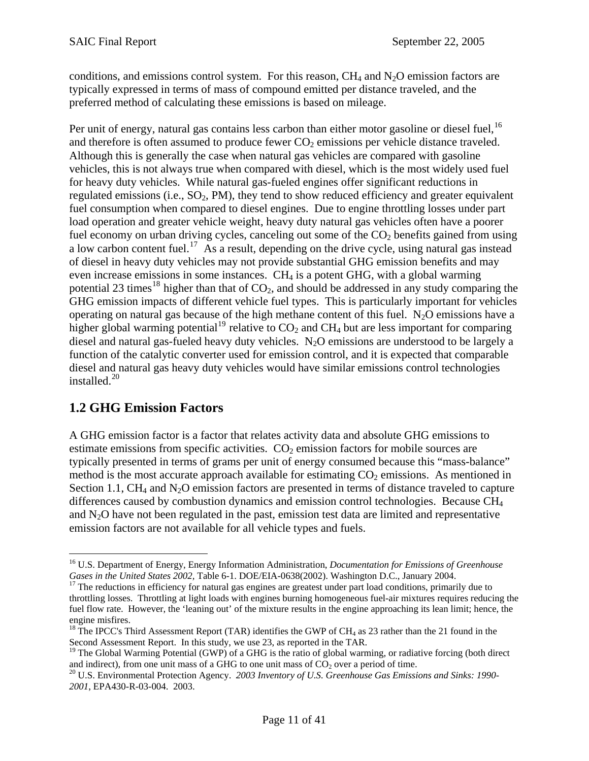conditions, and emissions control system. For this reason,  $CH_4$  and  $N_2O$  emission factors are typically expressed in terms of mass of compound emitted per distance traveled, and the preferred method of calculating these emissions is based on mileage.

Per unit of energy, natural gas contains less carbon than either motor gasoline or diesel fuel.<sup>[16](#page-10-0)</sup> and therefore is often assumed to produce fewer  $CO<sub>2</sub>$  emissions per vehicle distance traveled. Although this is generally the case when natural gas vehicles are compared with gasoline vehicles, this is not always true when compared with diesel, which is the most widely used fuel for heavy duty vehicles. While natural gas-fueled engines offer significant reductions in regulated emissions (i.e.,  $SO_2$ , PM), they tend to show reduced efficiency and greater equivalent fuel consumption when compared to diesel engines. Due to engine throttling losses under part load operation and greater vehicle weight, heavy duty natural gas vehicles often have a poorer fuel economy on urban driving cycles, canceling out some of the  $CO<sub>2</sub>$  benefits gained from using a low carbon content fuel.<sup>17</sup> As a result, depending on the drive cycle, using natural gas instead of diesel in heavy duty vehicles may not provide substantial GHG emission benefits and may even increase emissions in some instances.  $CH<sub>4</sub>$  is a potent GHG, with a global warming potential 23 times<sup>[18](#page-10-2)</sup> higher than that of  $CO<sub>2</sub>$ , and should be addressed in any study comparing the GHG emission impacts of different vehicle fuel types. This is particularly important for vehicles operating on natural gas because of the high methane content of this fuel.  $N_2O$  emissions have a higher global warming potential<sup>[19](#page-10-3)</sup> relative to  $CO_2$  and  $CH_4$  but are less important for comparing diesel and natural gas-fueled heavy duty vehicles.  $N_2O$  emissions are understood to be largely a function of the catalytic converter used for emission control, and it is expected that comparable diesel and natural gas heavy duty vehicles would have similar emissions control technologies installed.[20](#page-10-4)

## **1.2 GHG Emission Factors**

 $\overline{a}$ 

A GHG emission factor is a factor that relates activity data and absolute GHG emissions to estimate emissions from specific activities.  $CO<sub>2</sub>$  emission factors for mobile sources are typically presented in terms of grams per unit of energy consumed because this "mass-balance" method is the most accurate approach available for estimating  $CO<sub>2</sub>$  emissions. As mentioned in Section 1.1,  $CH_4$  and  $N_2O$  emission factors are presented in terms of distance traveled to capture differences caused by combustion dynamics and emission control technologies. Because CH4 and  $N<sub>2</sub>O$  have not been regulated in the past, emission test data are limited and representative emission factors are not available for all vehicle types and fuels.

<span id="page-10-0"></span><sup>16</sup> U.S. Department of Energy, Energy Information Administration, *Documentation for Emissions of Greenhouse Gases in the United States 2002, Table 6-1. DOE/EIA-0638(2002). Washington D.C., January 2004.* <sup>17</sup> The reductions in efficiency for natural gas engines are greatest under part load conditions, primarily due to

<span id="page-10-1"></span>throttling losses. Throttling at light loads with engines burning homogeneous fuel-air mixtures requires reducing the fuel flow rate. However, the 'leaning out' of the mixture results in the engine approaching its lean limit; hence, the engine misfires.

<span id="page-10-2"></span><sup>&</sup>lt;sup>18</sup> The IPCC's Third Assessment Report (TAR) identifies the GWP of CH<sub>4</sub> as 23 rather than the 21 found in the Second Assessment Report. In this study, we use 23, as reported in the TAR.<br><sup>19</sup> The Global Warming Potential (GWP) of a GHG is the ratio of global warming, or radiative forcing (both direct

<span id="page-10-3"></span>and indirect), from one unit mass of a GHG to one unit mass of  $CO_2$  over a period of time.<br><sup>20</sup> U.S. Environmental Protection Agency. *2003 Inventory of U.S. Greenhouse Gas Emissions and Sinks: 1990-*

<span id="page-10-4"></span>*<sup>2001</sup>*, EPA430-R-03-004. 2003.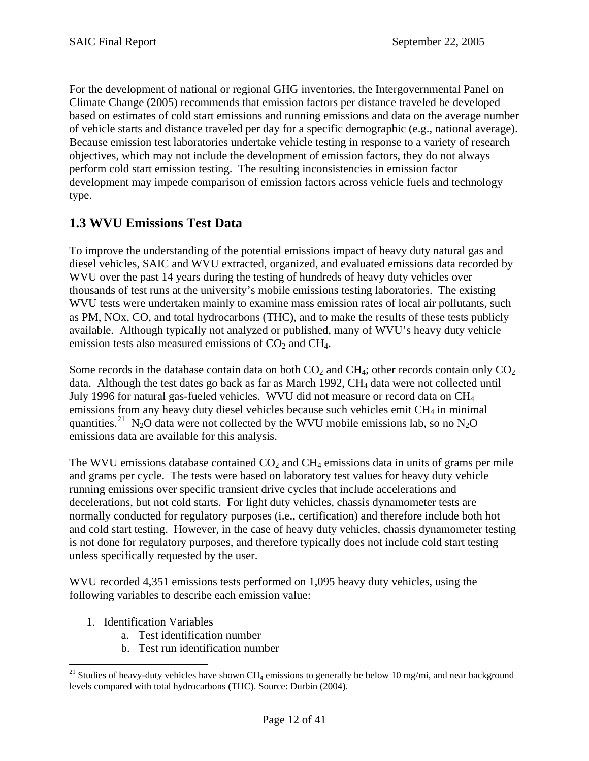For the development of national or regional GHG inventories, the Intergovernmental Panel on Climate Change (2005) recommends that emission factors per distance traveled be developed based on estimates of cold start emissions and running emissions and data on the average number of vehicle starts and distance traveled per day for a specific demographic (e.g., national average). Because emission test laboratories undertake vehicle testing in response to a variety of research objectives, which may not include the development of emission factors, they do not always perform cold start emission testing. The resulting inconsistencies in emission factor development may impede comparison of emission factors across vehicle fuels and technology type.

## **1.3 WVU Emissions Test Data**

To improve the understanding of the potential emissions impact of heavy duty natural gas and diesel vehicles, SAIC and WVU extracted, organized, and evaluated emissions data recorded by WVU over the past 14 years during the testing of hundreds of heavy duty vehicles over thousands of test runs at the university's mobile emissions testing laboratories. The existing WVU tests were undertaken mainly to examine mass emission rates of local air pollutants, such as PM, NOx, CO, and total hydrocarbons (THC), and to make the results of these tests publicly available. Although typically not analyzed or published, many of WVU's heavy duty vehicle emission tests also measured emissions of  $CO<sub>2</sub>$  and  $CH<sub>4</sub>$ .

Some records in the database contain data on both  $CO<sub>2</sub>$  and  $CH<sub>4</sub>$ ; other records contain only  $CO<sub>2</sub>$ data. Although the test dates go back as far as March 1992,  $CH<sub>4</sub>$  data were not collected until July 1996 for natural gas-fueled vehicles. WVU did not measure or record data on CH4 emissions from any heavy duty diesel vehicles because such vehicles emit CH<sub>4</sub> in minimal quantities.<sup>[21](#page-11-0)</sup> N<sub>2</sub>O data were not collected by the WVU mobile emissions lab, so no N<sub>2</sub>O emissions data are available for this analysis.

The WVU emissions database contained  $CO<sub>2</sub>$  and  $CH<sub>4</sub>$  emissions data in units of grams per mile and grams per cycle. The tests were based on laboratory test values for heavy duty vehicle running emissions over specific transient drive cycles that include accelerations and decelerations, but not cold starts. For light duty vehicles, chassis dynamometer tests are normally conducted for regulatory purposes (i.e., certification) and therefore include both hot and cold start testing. However, in the case of heavy duty vehicles, chassis dynamometer testing is not done for regulatory purposes, and therefore typically does not include cold start testing unless specifically requested by the user.

WVU recorded 4,351 emissions tests performed on 1,095 heavy duty vehicles, using the following variables to describe each emission value:

- 1. Identification Variables
	- a. Test identification number
	- b. Test run identification number

<span id="page-11-0"></span> $\overline{a}$ <sup>21</sup> Studies of heavy-duty vehicles have shown CH<sub>4</sub> emissions to generally be below 10 mg/mi, and near background levels compared with total hydrocarbons (THC). Source: Durbin (2004).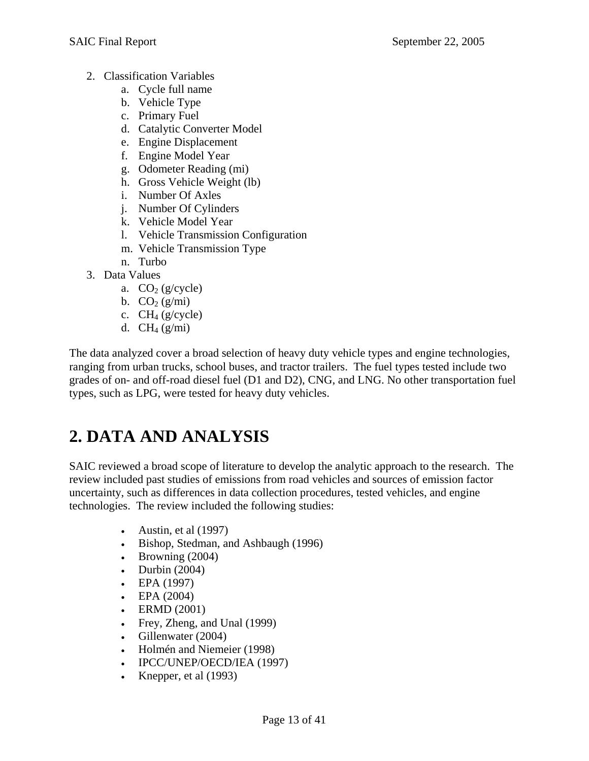- <span id="page-12-0"></span>2. Classification Variables
	- a. Cycle full name
	- b. Vehicle Type
	- c. Primary Fuel
	- d. Catalytic Converter Model
	- e. Engine Displacement
	- f. Engine Model Year
	- g. Odometer Reading (mi)
	- h. Gross Vehicle Weight (lb)
	- i. Number Of Axles
	- j. Number Of Cylinders
	- k. Vehicle Model Year
	- l. Vehicle Transmission Configuration
	- m. Vehicle Transmission Type
	- n. Turbo
- 3. Data Values
	- a.  $CO<sub>2</sub>$  (g/cycle)
	- b.  $CO<sub>2</sub>(g/mi)$
	- c.  $CH_4$  (g/cycle)
	- d.  $CH_4(g/ml)$

The data analyzed cover a broad selection of heavy duty vehicle types and engine technologies, ranging from urban trucks, school buses, and tractor trailers. The fuel types tested include two grades of on- and off-road diesel fuel (D1 and D2), CNG, and LNG. No other transportation fuel types, such as LPG, were tested for heavy duty vehicles.

# **2. DATA AND ANALYSIS**

SAIC reviewed a broad scope of literature to develop the analytic approach to the research. The review included past studies of emissions from road vehicles and sources of emission factor uncertainty, such as differences in data collection procedures, tested vehicles, and engine technologies. The review included the following studies:

- Austin, et al  $(1997)$
- Bishop, Stedman, and Ashbaugh (1996)
- Browning  $(2004)$
- Durbin  $(2004)$
- EPA (1997)
- EPA  $(2004)$
- ERMD (2001)
- Frey, Zheng, and Unal (1999)
- Gillenwater (2004)
- Holmén and Niemeier (1998)
- IPCC/UNEP/OECD/IEA (1997)
- Knepper, et al  $(1993)$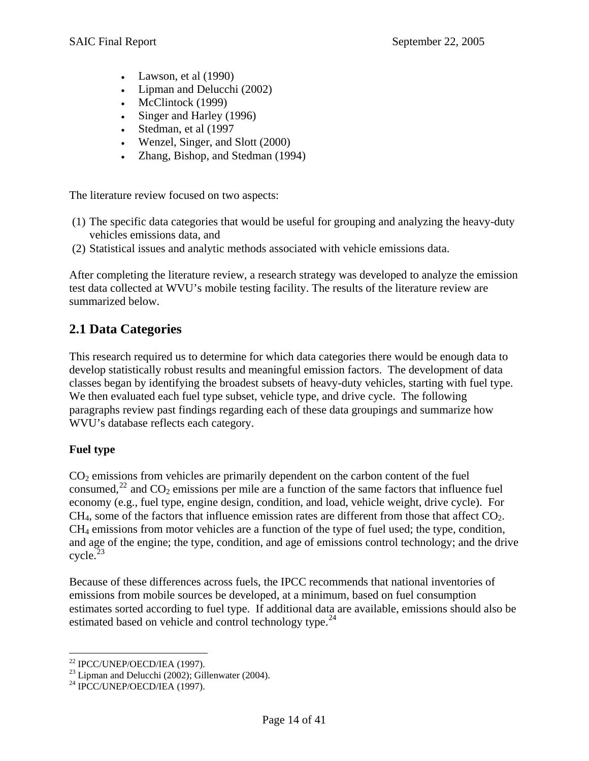- Lawson, et al  $(1990)$
- Lipman and Delucchi (2002)
- McClintock (1999)
- Singer and Harley (1996)
- Stedman, et al (1997
- Wenzel, Singer, and Slott (2000)
- Zhang, Bishop, and Stedman (1994)

The literature review focused on two aspects:

- (1) The specific data categories that would be useful for grouping and analyzing the heavy-duty vehicles emissions data, and
- (2) Statistical issues and analytic methods associated with vehicle emissions data.

After completing the literature review, a research strategy was developed to analyze the emission test data collected at WVU's mobile testing facility. The results of the literature review are summarized below.

## **2.1 Data Categories**

This research required us to determine for which data categories there would be enough data to develop statistically robust results and meaningful emission factors. The development of data classes began by identifying the broadest subsets of heavy-duty vehicles, starting with fuel type. We then evaluated each fuel type subset, vehicle type, and drive cycle. The following paragraphs review past findings regarding each of these data groupings and summarize how WVU's database reflects each category.

### **Fuel type**

 $CO<sub>2</sub>$  emissions from vehicles are primarily dependent on the carbon content of the fuel consumed,  $^{22}$  and CO<sub>2</sub> emissions per mile are a function of the same factors that influence fuel and age of the engine; the type, condition, and age of emissions control technology; and the drive economy (e.g., fuel type, engine design, condition, and load, vehicle weight, drive cycle). For  $CH<sub>4</sub>$ , some of the factors that influence emission rates are different from those that affect  $CO<sub>2</sub>$ .  $CH<sub>4</sub>$  emissions from motor vehicles are a function of the type of fuel used; the type, condition,  $cycle.<sup>23</sup>$  $cycle.<sup>23</sup>$  $cycle.<sup>23</sup>$ 

Because of these differences across fuels, the IPCC recommends that national inventories of estimates sorted according to fuel type. If additional data are available, emissions should also be emissions from mobile sources be developed, at a minimum, based on fuel consumption estimated based on vehicle and control technology type.<sup>[24](#page-13-1)</sup>

 $\overline{a}$ 22 IPCC/UNEP/OECD/IEA (1997).

<span id="page-13-0"></span> $23$  Lipman and Delucchi (2002); Gillenwater (2004).

<span id="page-13-1"></span> $24$  IPCC/UNEP/OECD/IEA (1997).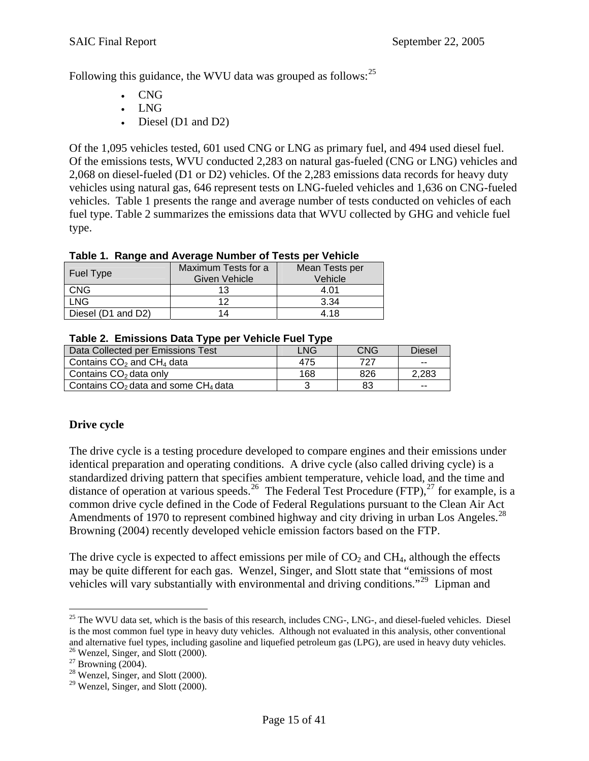Following this guidance, the WVU data was grouped as follows:<sup>[25](#page-13-1)</sup>

- CNG
- LNG
- Diesel (D1 and D2)

Of the 1,095 vehicles tested, 601 used CNG or LNG as primary fuel, and 494 used diesel fuel. Of the emissions tests, WVU conducted 2,283 on natural gas-fueled (CNG or LNG) vehicles and 2,068 on diesel-fueled (D1 or D2) vehicles. Of the 2,283 emissions data records for heavy duty vehicles using natural gas, 646 represent tests on LNG-fueled vehicles and 1,636 on CNG-fueled vehicles. Table 1 presents the range and average number of tests conducted on vehicles of each fuel type. Table 2 summarizes the emissions data that WVU collected by GHG and vehicle fuel type.

| $1800$ $\mu$ . The property control the property of the property of the property of the property of the property of the property of the property of the property of the property of the property of the property of the proper |                     |                |  |  |  |  |  |  |
|--------------------------------------------------------------------------------------------------------------------------------------------------------------------------------------------------------------------------------|---------------------|----------------|--|--|--|--|--|--|
|                                                                                                                                                                                                                                | Maximum Tests for a | Mean Tests per |  |  |  |  |  |  |
| Fuel Type                                                                                                                                                                                                                      | Given Vehicle       | Vehicle        |  |  |  |  |  |  |
| <b>CNG</b>                                                                                                                                                                                                                     | 13                  | 4.01           |  |  |  |  |  |  |
| <b>LNG</b>                                                                                                                                                                                                                     | 12                  | 3.34           |  |  |  |  |  |  |
| Diesel (D1 and D2)                                                                                                                                                                                                             | 14                  | 4.18           |  |  |  |  |  |  |

### **Table 1. Range and Average Number of Tests per Vehicle**

|  |  |  |  |  |  | Table 2. Emissions Data Type per Vehicle Fuel Type |  |
|--|--|--|--|--|--|----------------------------------------------------|--|
|  |  |  |  |  |  |                                                    |  |

| Data Collected per Emissions Test       | LNG. | CNG | <b>Diesel</b> |
|-----------------------------------------|------|-----|---------------|
| Contains $CO2$ and $CH4$ data           | 475  | 727 | $-$           |
| Contains $CO2$ data only                | 168  | 826 | 2.283         |
| Contains $CO2$ data and some $CH4$ data |      | 83  | --            |

### **Drive cycle**

The drive cycle is a testing procedure developed to compare engines and their emissions under identical preparation and operating conditions. A drive cycle (also called driving cycle) is a standardized driving pattern that specifies ambient temperature, vehicle load, and the time and distance of operation at various speeds.<sup>[26](#page-14-0)</sup> The Federal Test Procedure (FTP),<sup>[27](#page-14-1)</sup> for example, is a common drive cycle defined in the Code of Federal Regulations pursuant to the Clean Air Act Amendments of 1970 to represent combined highway and city driving in urban Los Angeles.<sup>[28](#page-14-2)</sup> Browning (2004) recently developed vehicle emission factors based on the FTP.

The drive cycle is expected to affect emissions per mile of  $CO<sub>2</sub>$  and  $CH<sub>4</sub>$ , although the effects may be quite different for each gas. Wenzel, Singer, and Slott state that "emissions of most vehicles will vary substantially with environmental and driving conditions."<sup>29</sup> Lipman and

 $\overline{a}$ 

 $25$  The WVU data set, which is the basis of this research, includes CNG-, LNG-, and diesel-fueled vehicles. Diesel is the most common fuel type in heavy duty vehicles. Although not evaluated in this analysis, other conventional and alternative fuel types, including gasoline and liquefied petroleum gas (LPG), are used in heavy duty vehicles. 26 Wenzel, Singer, and Slott (2000).

<span id="page-14-1"></span><span id="page-14-0"></span> $27$  Browning (2004).

 $28$  Wenzel, Singer, and Slott (2000).

<span id="page-14-3"></span><span id="page-14-2"></span> $29$  Wenzel, Singer, and Slott (2000).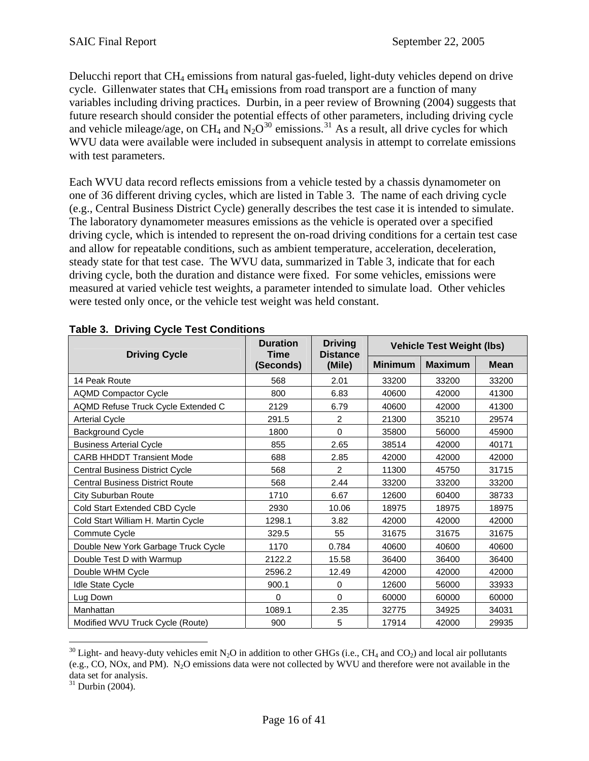Delucchi report that CH4 emissions from natural gas-fueled, light-duty vehicles depend on drive cycle. Gillenwater states that  $CH_4$  emissions from road transport are a function of many variables including driving practices. Durbin, in a peer review of Browning (2004) suggests that future research should consider the potential effects of other parameters, including driving cycle and vehicle mileage/age, on CH<sub>4</sub> and N<sub>2</sub>O<sup>[30](#page-14-3)</sup> emissions.<sup>[31](#page-15-0)</sup> As a result, all drive cycles for which WVU data were available were included in subsequent analysis in attempt to correlate emissions with test parameters.

Each WVU data record reflects emissions from a vehicle tested by a chassis dynamometer on one of 36 different driving cycles, which are listed in Table 3. The name of each driving cycle (e.g., Central Business District Cycle) generally describes the test case it is intended to simulate. driving cycle, which is intended to represent the on-road driving conditions for a certain test case measured at varied vehicle test weights, a parameter intended to simulate load. Other vehicles The laboratory dynamometer measures emissions as the vehicle is operated over a specified and allow for repeatable conditions, such as ambient temperature, acceleration, deceleration, steady state for that test case. The WVU data, summarized in Table 3, indicate that for each driving cycle, both the duration and distance were fixed. For some vehicles, emissions were were tested only once, or the vehicle test weight was held constant.

| <b>Driving Cycle</b>                   | <b>Duration</b> | <b>Driving</b><br><b>Distance</b><br>Time |                | <b>Vehicle Test Weight (lbs)</b> |             |  |  |
|----------------------------------------|-----------------|-------------------------------------------|----------------|----------------------------------|-------------|--|--|
|                                        | (Seconds)       | (Mile)                                    | <b>Minimum</b> | <b>Maximum</b>                   | <b>Mean</b> |  |  |
| 14 Peak Route                          | 568             | 2.01                                      | 33200          | 33200                            | 33200       |  |  |
| <b>AQMD Compactor Cycle</b>            | 800             | 6.83                                      | 40600          | 42000                            | 41300       |  |  |
| AQMD Refuse Truck Cycle Extended C     | 2129            | 6.79                                      | 40600          | 42000                            | 41300       |  |  |
| <b>Arterial Cycle</b>                  | 291.5           | $\overline{2}$                            | 21300          | 35210                            | 29574       |  |  |
| <b>Background Cycle</b>                | 1800            | $\Omega$                                  | 35800          | 56000                            | 45900       |  |  |
| <b>Business Arterial Cycle</b>         | 855             | 2.65                                      | 38514          | 42000                            | 40171       |  |  |
| <b>CARB HHDDT Transient Mode</b>       | 688             | 2.85                                      | 42000          | 42000                            | 42000       |  |  |
| Central Business District Cycle        | 568             | 2                                         | 11300          | 45750                            | 31715       |  |  |
| <b>Central Business District Route</b> | 568             | 2.44                                      | 33200          | 33200                            | 33200       |  |  |
| <b>City Suburban Route</b>             | 1710            | 6.67                                      | 12600          | 60400                            | 38733       |  |  |
| Cold Start Extended CBD Cycle          | 2930            | 10.06                                     | 18975          | 18975                            | 18975       |  |  |
| Cold Start William H. Martin Cycle     | 1298.1          | 3.82                                      | 42000          | 42000                            | 42000       |  |  |
| Commute Cycle                          | 329.5           | 55                                        | 31675          | 31675                            | 31675       |  |  |
| Double New York Garbage Truck Cycle    | 1170            | 0.784                                     | 40600          | 40600                            | 40600       |  |  |
| Double Test D with Warmup              | 2122.2          | 15.58                                     | 36400          | 36400                            | 36400       |  |  |
| Double WHM Cycle                       | 2596.2          | 12.49                                     | 42000          | 42000                            | 42000       |  |  |
| <b>Idle State Cycle</b>                | 900.1           | 0                                         | 12600          | 56000                            | 33933       |  |  |
| Lug Down                               | $\Omega$        | 0                                         | 60000          | 60000                            | 60000       |  |  |
| Manhattan                              | 1089.1          | 2.35                                      | 32775          | 34925                            | 34031       |  |  |
| Modified WVU Truck Cycle (Route)       | 900             | 5                                         | 17914          | 42000                            | 29935       |  |  |

### **Table 3. Driving Cycle Test Conditions**

<span id="page-15-0"></span> $\overline{a}$ <sup>30</sup> Light- and heavy-duty vehicles emit N<sub>2</sub>O in addition to other GHGs (i.e., CH<sub>4</sub> and CO<sub>2</sub>) and local air pollutants (e.g., CO, NOx, and PM). N2O emissions data were not collected by WVU and therefore were not available in the data set for analysis.

 $31$  Durbin (2004).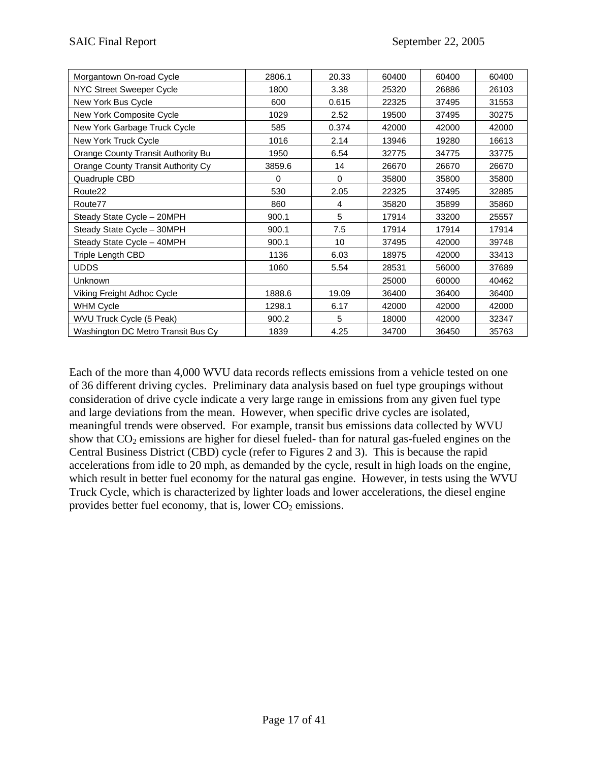| Morgantown On-road Cycle           | 2806.1 | 20.33    | 60400 | 60400 | 60400 |
|------------------------------------|--------|----------|-------|-------|-------|
| NYC Street Sweeper Cycle           | 1800   | 3.38     | 25320 | 26886 | 26103 |
| New York Bus Cycle                 | 600    | 0.615    | 22325 | 37495 | 31553 |
| New York Composite Cycle           | 1029   | 2.52     | 19500 | 37495 | 30275 |
| New York Garbage Truck Cycle       | 585    | 0.374    | 42000 | 42000 | 42000 |
| New York Truck Cycle               | 1016   | 2.14     | 13946 | 19280 | 16613 |
| Orange County Transit Authority Bu | 1950   | 6.54     | 32775 | 34775 | 33775 |
| Orange County Transit Authority Cy | 3859.6 | 14       | 26670 | 26670 | 26670 |
| Quadruple CBD                      | 0      | $\Omega$ | 35800 | 35800 | 35800 |
| Route <sub>22</sub>                | 530    | 2.05     | 22325 | 37495 | 32885 |
| Route77                            | 860    | 4        | 35820 | 35899 | 35860 |
| Steady State Cycle - 20MPH         | 900.1  | 5        | 17914 | 33200 | 25557 |
| Steady State Cycle - 30MPH         | 900.1  | 7.5      | 17914 | 17914 | 17914 |
| Steady State Cycle - 40MPH         | 900.1  | 10       | 37495 | 42000 | 39748 |
| Triple Length CBD                  | 1136   | 6.03     | 18975 | 42000 | 33413 |
| <b>UDDS</b>                        | 1060   | 5.54     | 28531 | 56000 | 37689 |
| Unknown                            |        |          | 25000 | 60000 | 40462 |
| Viking Freight Adhoc Cycle         | 1888.6 | 19.09    | 36400 | 36400 | 36400 |
| <b>WHM Cycle</b>                   | 1298.1 | 6.17     | 42000 | 42000 | 42000 |
| WVU Truck Cycle (5 Peak)           | 900.2  | 5        | 18000 | 42000 | 32347 |
| Washington DC Metro Transit Bus Cy | 1839   | 4.25     | 34700 | 36450 | 35763 |

Each of the more than 4,000 WVU data records reflects emissions from a vehicle tested on one of 36 different driving cycles. Preliminary data analysis based on fuel type groupings without consideration of drive cycle indicate a very large range in emissions from any given fuel type and large deviations from the mean. However, when specific drive cycles are isolated, meaningful trends were observed. For example, transit bus emissions data collected by WVU show that  $CO<sub>2</sub>$  emissions are higher for diesel fueled- than for natural gas-fueled engines on the Central Business District (CBD) cycle (refer to Figures 2 and 3). This is because the rapid accelerations from idle to 20 mph, as demanded by the cycle, result in high loads on the engine, which result in better fuel economy for the natural gas engine. However, in tests using the WV U Truck Cycle, which is characterized by lighter loads and lower accelerations, the diesel engine provides better fuel economy, that is, lower CO<sub>2</sub> emissions.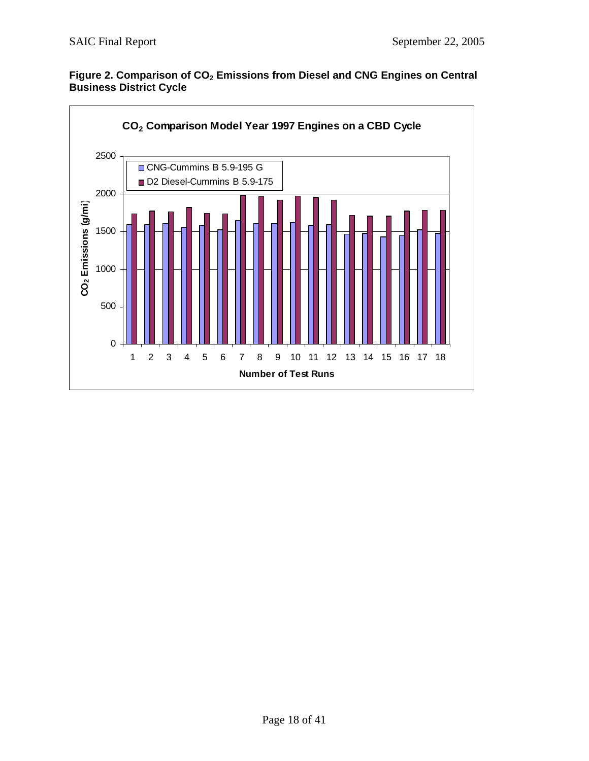

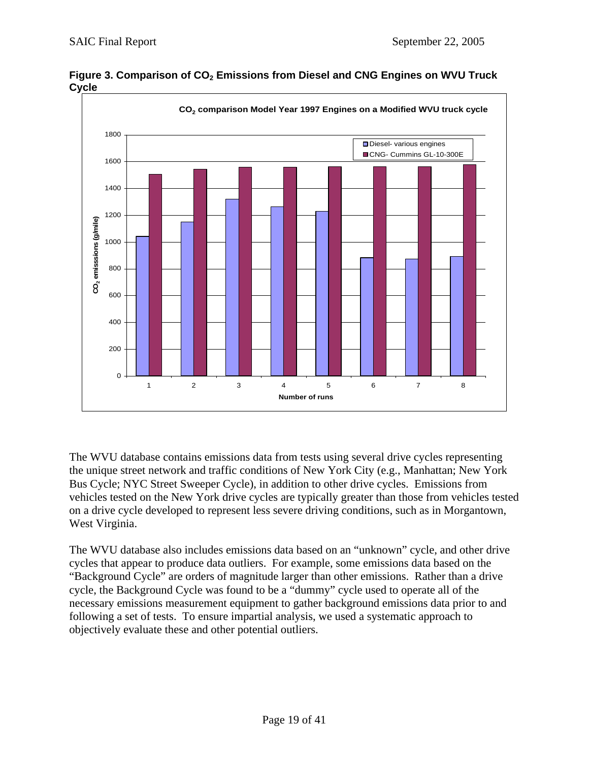

Figure 3. Comparison of CO<sub>2</sub> Emissions from Diesel and CNG Engines on WVU Truck **Cycle** 

The WVU database contains emissions data from tests using several drive cycles representing the unique street network and traffic conditions of New York City (e.g., Manhattan; New York Bus Cycle; NYC Street Sweeper Cycle), in addition to other drive cycles. Emissions from vehicles tested on the New York drive cycles are typically greater than those from vehicles tested on a drive cycle developed to represent less severe driving conditions, such as in Morgantown, West Virginia.

The WVU database also includes emissions data based on an "unknown" cycle, and other drive cycles that appear to produce data outliers. For example, some emissions data based on the "Background Cycle" are orders of magnitude larger than other emissions. Rather than a drive cycle, the Background Cycle was found to be a "dummy" cycle used to operate all of the necessary emissions measurement equipment to gather background emissions data prior to and following a set of tests. To ensure impartial analysis, we used a systematic approach to objectively evaluate these and other potential outliers.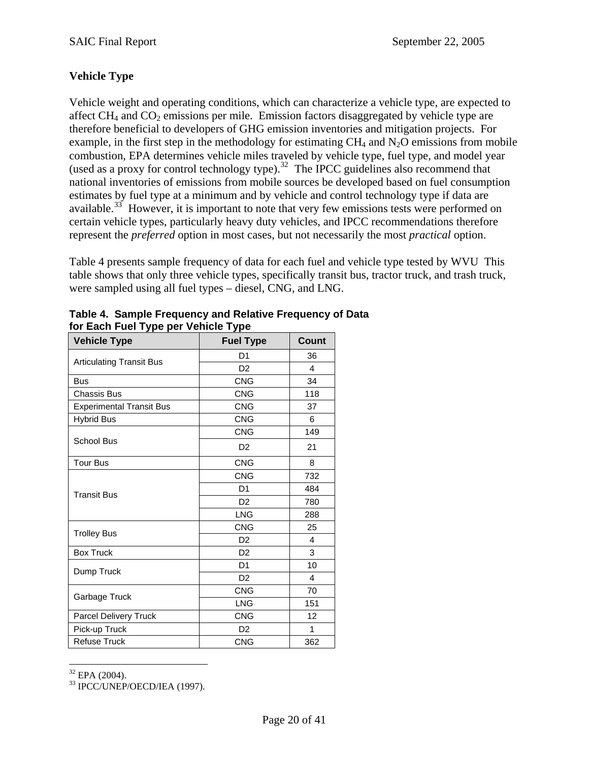## **Vehicle Type**

Vehicle weight and operating conditions, which can characterize a vehicle type, are expected to affect  $CH_4$  and  $CO_2$  emissions per mile. Emission factors disaggregated by vehicle type are therefore beneficial to developers of GHG emission inventories and mitigation projects. For example, in the first step in the methodology for estimating  $CH_4$  and  $N_2O$  emissions from mobile combustion, EPA determines vehicle miles traveled by vehicle type, fuel type, and model year (used as a proxy for control technology type).<sup>[32](#page-19-0)</sup> The IPCC guidelines also recommend that national inventories of emissions from mobile sources be developed based on fuel consumption estimates by fuel type at a minimum and by vehicle and control technology type if data are available.<sup>[33](#page-19-1)</sup> However, it is important to note that very few emissions tests were performed on certain vehicle types, particularly heavy duty vehicles, and IPCC recommendations therefore represent the *preferred* option in most cases, but not necessarily the most *practical* option.

Table 4 presents sample frequency of data for each fuel and vehicle type tested by WVU This table shows that only three vehicle types, specifically transit bus, tractor truck, and trash truck, were sampled using all fuel types – diesel, CNG, and LNG.

| <b>Vehicle Type</b>             | <b>Fuel Type</b> | <b>Count</b>   |
|---------------------------------|------------------|----------------|
|                                 | D1               | 36             |
| <b>Articulating Transit Bus</b> | D <sub>2</sub>   | $\overline{4}$ |
| <b>Bus</b>                      | <b>CNG</b>       | 34             |
| Chassis Bus                     | <b>CNG</b>       | 118            |
| <b>Experimental Transit Bus</b> | <b>CNG</b>       | 37             |
| <b>Hybrid Bus</b>               | <b>CNG</b>       | 6              |
|                                 | <b>CNG</b>       | 149            |
| <b>School Bus</b>               | D <sub>2</sub>   | 21             |
| <b>Tour Bus</b>                 | <b>CNG</b>       | 8              |
|                                 | <b>CNG</b>       | 732            |
| <b>Transit Bus</b>              | D <sub>1</sub>   | 484            |
|                                 | D <sub>2</sub>   | 780            |
|                                 | <b>LNG</b>       | 288            |
| <b>Trolley Bus</b>              | <b>CNG</b>       | 25             |
|                                 | D <sub>2</sub>   | 4              |
| <b>Box Truck</b>                | D <sub>2</sub>   | 3              |
| Dump Truck                      | D1               | 10             |
|                                 | D <sub>2</sub>   | 4              |
| Garbage Truck                   | <b>CNG</b>       | 70             |
|                                 | <b>LNG</b>       | 151            |
| Parcel Delivery Truck           | <b>CNG</b>       | 12             |
| Pick-up Truck                   | D <sub>2</sub>   | 1              |
| <b>Refuse Truck</b>             | <b>CNG</b>       | 362            |

| Table 4. Sample Frequency and Relative Frequency of Data |
|----------------------------------------------------------|
| for Each Fuel Type per Vehicle Type                      |

 $\overline{a}$  $32$  EPA (2004).

<span id="page-19-1"></span><span id="page-19-0"></span>33 IPCC/UNEP/OECD/IEA (1997).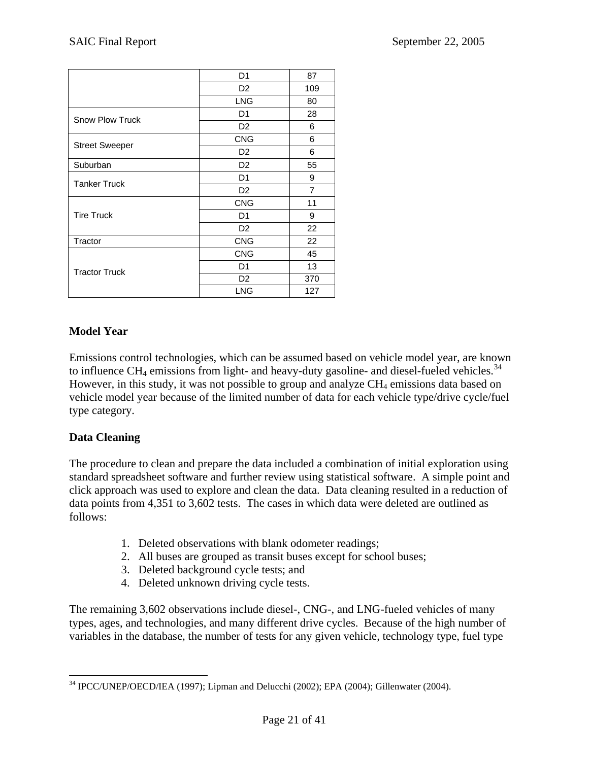|                        | D <sub>1</sub> | 87  |
|------------------------|----------------|-----|
|                        | D <sub>2</sub> | 109 |
|                        | <b>LNG</b>     | 80  |
| <b>Snow Plow Truck</b> | D <sub>1</sub> | 28  |
|                        | D <sub>2</sub> | 6   |
|                        | <b>CNG</b>     | 6   |
| <b>Street Sweeper</b>  | D <sub>2</sub> | 6   |
| Suburban               | D <sub>2</sub> | 55  |
| <b>Tanker Truck</b>    | D <sub>1</sub> | 9   |
|                        | D <sub>2</sub> | 7   |
|                        | <b>CNG</b>     | 11  |
| <b>Tire Truck</b>      | D <sub>1</sub> | 9   |
|                        | D <sub>2</sub> | 22  |
| Tractor                | <b>CNG</b>     | 22  |
|                        | <b>CNG</b>     | 45  |
| <b>Tractor Truck</b>   | D <sub>1</sub> | 13  |
|                        | D <sub>2</sub> | 370 |
|                        | LNG            | 127 |

### **Model Year**

Emissions control technologies, which can be assumed based on vehicle model year, are known to influence  $CH_4$  emissions from light- and heavy-duty gasoline- and diesel-fueled vehicles.<sup>[34](#page-20-0)</sup> However, in this study, it was not possible to group and analyze  $CH_4$  emissions data based on vehicle model year because of the limited number of data for each vehicle type/drive cycle/fuel type category.

#### **Data Cleaning**

The procedure to clean and prepare the data included a combination of initial exploration using standard spreadsheet software and further review using statistical software. A simple point and click approach was used to explore and clean the data. Data cleaning resulted in a reduction of data points from 4,351 to 3,602 tests. The cases in which data were deleted are outlined as follows:

- 1. Deleted observations with blank odometer readings;
- 2. All buses are grouped as transit buses except for school buses;
- 3. Deleted background cycle tests; and
- 4. Deleted unknown driving cycle tests.

The remaining 3,602 observations include diesel-, CNG-, and LNG-fueled vehicles of many types, ages, and technologies, and many different drive cycles. Because of the high number of variables in the database, the number of tests for any given vehicle, technology type, fuel type

<span id="page-20-0"></span> $\overline{a}$ <sup>34</sup> IPCC/UNEP/OECD/IEA (1997); Lipman and Delucchi (2002); EPA (2004); Gillenwater (2004).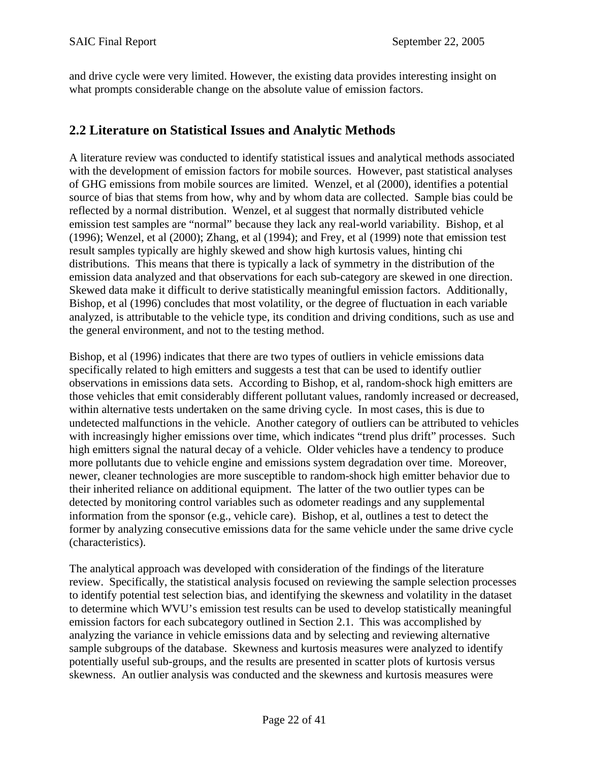and drive cycle were very limited. However, the existing data provides interesting insight on what prompts considerable change on the absolute value of emission factors.

## **2.2 Literature on Statistical Issues and Analytic Methods**

A literature review was conducted to identify statistical issues and analytical methods associated with the development of emission factors for mobile sources. However, past statistical analyses of GHG emissions from mobile sources are limited. Wenzel, et al (2000), identifies a potential source of bias that stems from how, why and by whom data are collected. Sample bias could be reflected by a normal distribution. Wenzel, et al suggest that normally distributed vehicle emission test samples are "normal" because they lack any real-world variability. Bishop, et al (1996); Wenzel, et al (2000); Zhang, et al (1994); and Frey, et al (1999) note that emission test result samples typically are highly skewed and show high kurtosis values, hinting chi distributions. This means that there is typically a lack of symmetry in the distribution of the emission data analyzed and that observations for each sub-category are skewed in one direction. Skewed data make it difficult to derive statistically meaningful emission factors. Additionally, Bishop, et al (1996) concludes that most volatility, or the degree of fluctuation in each variable analyzed, is attributable to the vehicle type, its condition and driving conditions, such as use and the general environment, and not to the testing method.

Bishop, et al (1996) indicates that there are two types of outliers in vehicle emissions data specifically related to high emitters and suggests a test that can be used to identify outlier observations in emissions data sets. According to Bishop, et al, random-shock high emitters are those vehicles that emit considerably different pollutant values, randomly increased or decreased, within alternative tests undertaken on the same driving cycle. In most cases, this is due to undetected malfunctions in the vehicle. Another category of outliers can be attributed to vehicles with increasingly higher emissions over time, which indicates "trend plus drift" processes. Such high emitters signal the natural decay of a vehicle. Older vehicles have a tendency to produce more pollutants due to vehicle engine and emissions system degradation over time. Moreover, newer, cleaner technologies are more susceptible to random-shock high emitter behavior due to their inherited reliance on additional equipment. The latter of the two outlier types can be detected by monitoring control variables such as odometer readings and any supplemental information from the sponsor (e.g., vehicle care). Bishop, et al, outlines a test to detect the former by analyzing consecutive emissions data for the same vehicle under the same drive cycle (characteristics).

The analytical approach was developed with consideration of the findings of the literature review. Specifically, the statistical analysis focused on reviewing the sample selection processes to identify potential test selection bias, and identifying the skewness and volatility in the dataset to determine which WVU's emission test results can be used to develop statistically meaningful emission factors for each subcategory outlined in Section 2.1. This was accomplished by analyzing the variance in vehicle emissions data and by selecting and reviewing alternative sample subgroups of the database. Skewness and kurtosis measures were analyzed to identify potentially useful sub-groups, and the results are presented in scatter plots of kurtosis versus skewness. An outlier analysis was conducted and the skewness and kurtosis measures were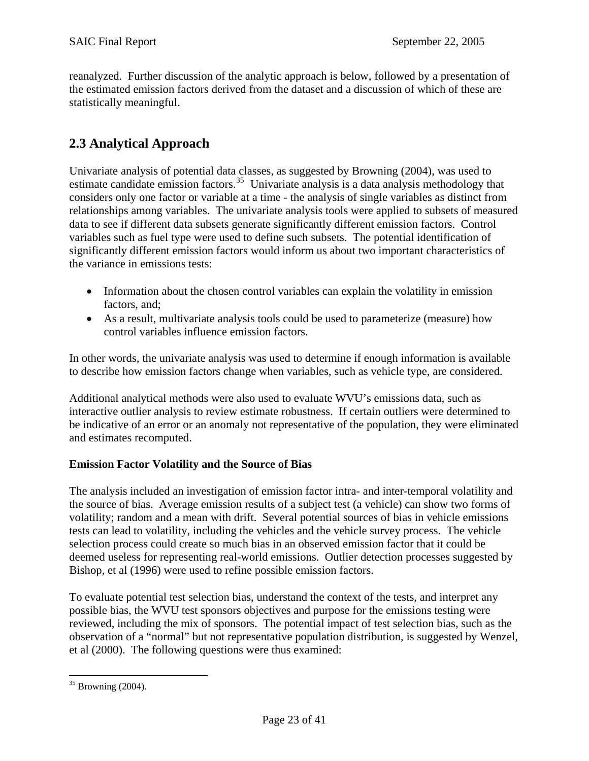<span id="page-22-0"></span>reanalyzed. Further discussion of the analytic approach is below, followed by a presentation of the estimated emission factors derived from the dataset and a discussion of which of these are statistically meaningful.

## **2.3 Analytical Approach**

Univariate analysis of potential data classes, as suggested by Browning (2004), was used to estimate candidate emission factors.<sup>[35](#page-22-1)</sup> Univariate analysis is a data analysis methodology that considers only one factor or variable at a time - the analysis of single variables as distinct from relationships among variables. The univariate analysis tools were applied to subsets of measured data to see if different data subsets generate significantly different emission factors. Control variables such as fuel type were used to define such subsets. The potential identification of significantly different emission factors would inform us about two important characteristics of the variance in emissions tests:

- Information about the chosen control variables can explain the volatility in emission factors, and;
- As a result, multivariate analysis tools could be used to parameterize (measure) how control variables influence emission factors.

In other words, the univariate analysis was used to determine if enough information is available to describe how emission factors change when variables, such as vehicle type, are considered.

Additional analytical methods were also used to evaluate WVU's emissions data, such as interactive outlier analysis to review estimate robustness. If certain outliers were determined to be indicative of an error or an anomaly not representative of the population, they were eliminated and estimates recomputed.

### **Emission Factor Volatility and the Source of Bias**

The analysis included an investigation of emission factor intra- and inter-temporal volatility and the source of bias. Average emission results of a subject test (a vehicle) can show two forms of volatility; random and a mean with drift. Several potential sources of bias in vehicle emissions tests can lead to volatility, including the vehicles and the vehicle survey process. The vehicle selection process could create so much bias in an observed emission factor that it could be deemed useless for representing real-world emissions. Outlier detection processes suggested by Bishop, et al (1996) were used to refine possible emission factors.

To evaluate potential test selection bias, understand the context of the tests, and interpret any possible bias, the WVU test sponsors objectives and purpose for the emissions testing were reviewed, including the mix of sponsors. The potential impact of test selection bias, such as the observation of a "normal" but not representative population distribution, is suggested by Wenzel, et al (2000). The following questions were thus examined:

 $\overline{a}$ 

<span id="page-22-1"></span> $35$  Browning (2004).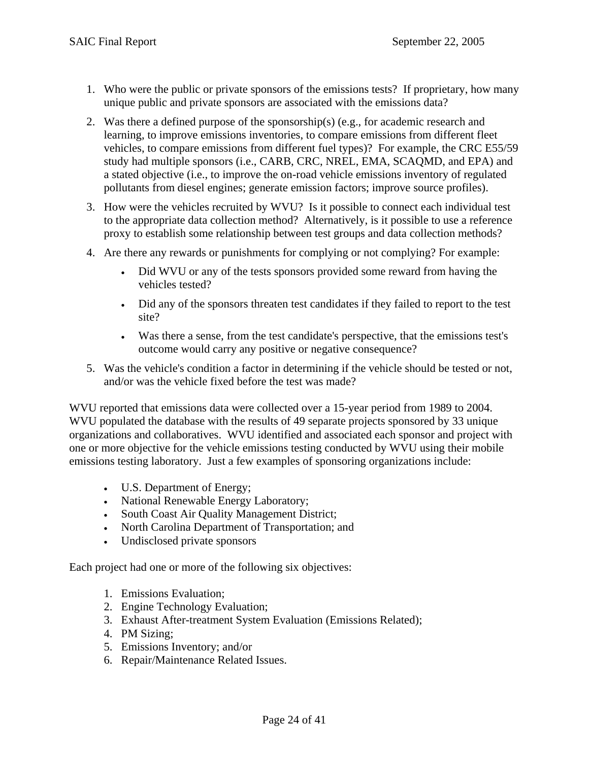- 1. Who were the public or private sponsors of the emissions tests? If proprietary, how many unique public and private sponsors are associated with the emissions data?
- 2. Was there a defined purpose of the sponsorship(s) (e.g., for academic research and learning, to improve emissions inventories, to compare emissions from different fleet vehicles, to compare emissions from different fuel types)? For example, the CRC E55/59 study had multiple sponsors (i.e., CARB, CRC, NREL, EMA, SCAQMD, and EPA) and a stated objective (i.e., to improve the on-road vehicle emissions inventory of regulated pollutants from diesel engines; generate emission factors; improve source profiles).
- 3. How were the vehicles recruited by WVU? Is it possible to connect each individual test to the appropriate data collection method? Alternatively, is it possible to use a reference proxy to establish some relationship between test groups and data collection methods?
- 4. Are there any rewards or punishments for complying or not complying? For example:
	- Did WVU or any of the tests sponsors provided some reward from having the vehicles tested?
	- Did any of the sponsors threaten test candidates if they failed to report to the test site?
	- Was there a sense, from the test candidate's perspective, that the emissions test's outcome would carry any positive or negative consequence?
- 5. Was the vehicle's condition a factor in determining if the vehicle should be tested or not, and/or was the vehicle fixed before the test was made?

WVU reported that emissions data were collected over a 15-year period from 1989 to 2004. WVU populated the database with the results of 49 separate projects sponsored by 33 unique organizations and collaboratives. WVU identified and associated each sponsor and project with one or more objective for the vehicle emissions testing conducted by WVU using their mobile emissions testing laboratory. Just a few examples of sponsoring organizations include:

- U.S. Department of Energy;
- National Renewable Energy Laboratory;
- South Coast Air Quality Management District;
- North Carolina Department of Transportation; and
- Undisclosed private sponsors

Each project had one or more of the following six objectives:

- 1. Emissions Evaluation;
- 2. Engine Technology Evaluation;
- 3. Exhaust After-treatment System Evaluation (Emissions Related);
- 4. PM Sizing;
- 5. Emissions Inventory; and/or
- 6. Repair/Maintenance Related Issues.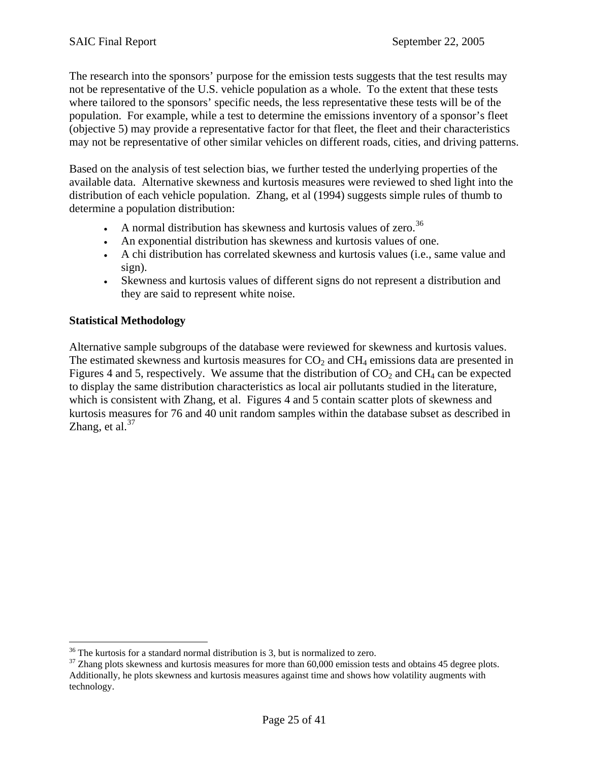The research into the sponsors' purpose for the emission tests suggests that the test results may not be representative of the U.S. vehicle population as a whole. To the extent that these tests where tailored to the sponsors' specific needs, the less representative these tests will be of the population. For example, while a test to determine the emissions inventory of a sponsor's fleet (objective 5) may provide a representative factor for that fleet, the fleet and their characteristics may not be representative of other similar vehicles on different roads, cities, and driving patterns.

Based on the analysis of test selection bias, we further tested the underlying properties of the available data. Alternative skewness and kurtosis measures were reviewed to shed light into the distribution of each vehicle population. Zhang, et al (1994) suggests simple rules of thumb to determine a population distribution:

- A normal distribution has skewness and kurtosis values of zero.<sup>[36](#page-24-0)</sup>
- An exponential distribution has skewness and kurtosis values of one.
- A chi distribution has correlated skewness and kurtosis values (i.e., same value and sign).
- Skewness and kurtosis values of different signs do not represent a distribution and they are said to represent white noise.

### **Statistical Methodology**

 $\overline{a}$ 

Alternative sample subgroups of the database were reviewed for skewness and kurtosis values. The estimated skewness and kurtosis measures for  $CO<sub>2</sub>$  and  $CH<sub>4</sub>$  emissions data are presented in Figures 4 and 5, respectively. We assume that the distribution of  $CO<sub>2</sub>$  and  $CH<sub>4</sub>$  can be expected to display the same distribution characteristics as local air pollutants studied in the literature, which is consistent with Zhang, et al. Figures 4 and 5 contain scatter plots of skewness and kurtosis measures for 76 and 40 unit random samples within the database subset as described in Zhang, et al. $37$ 

<span id="page-24-0"></span> $36$  The kurtosis for a standard normal distribution is 3, but is normalized to zero.

<span id="page-24-1"></span><sup>&</sup>lt;sup>37</sup> Zhang plots skewness and kurtosis measures for more than 60,000 emission tests and obtains 45 degree plots. Additionally, he plots skewness and kurtosis measures against time and shows how volatility augments with technology.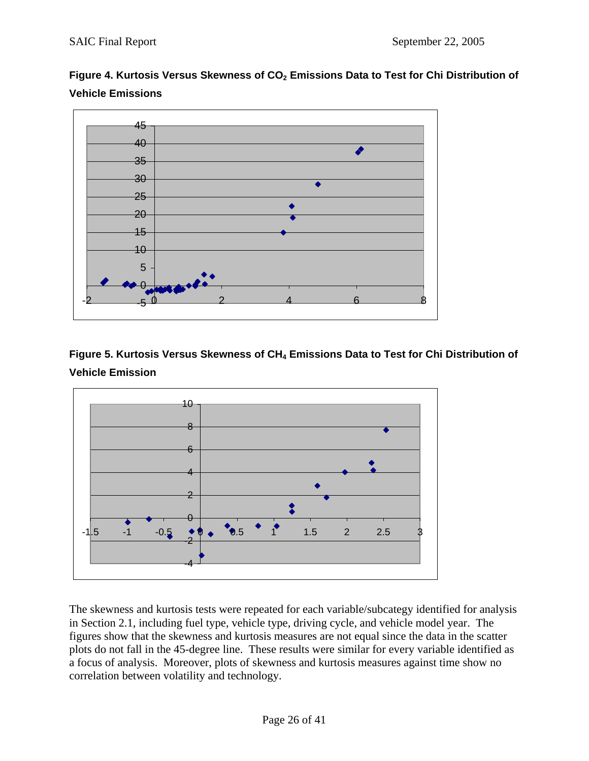



Figure 5. Kurtosis Versus Skewness of CH<sub>4</sub> Emissions Data to Test for Chi Distribution of **Vehicle Emission** 



The skewness and kurtosis tests were repeated for each variable/subcategy identified for analysis in Section 2.1, including fuel type, vehicle type, driving cycle, and vehicle model year. The figures show that the skewness and kurtosis measures are not equal since the data in the scatter plots do not fall in the 45-degree line. These results were similar for every variable identified as a focus of analysis. Moreover, plots of skewness and kurtosis measures against time show no correlation between volatility and technology.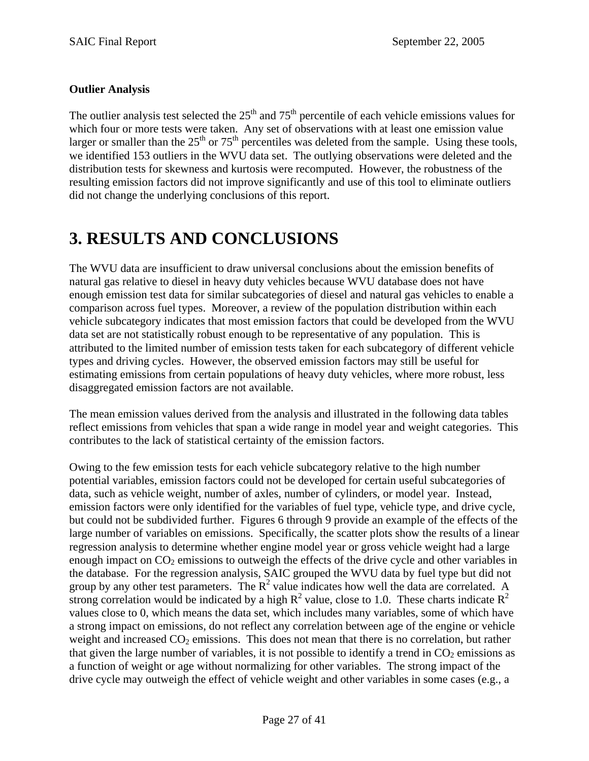## <span id="page-26-0"></span>**Outlier Analysis**

The outlier analysis test selected the  $25<sup>th</sup>$  and  $75<sup>th</sup>$  percentile of each vehicle emissions values for which four or more tests were taken. Any set of observations with at least one emission value larger or smaller than the  $25<sup>th</sup>$  or  $75<sup>th</sup>$  percentiles was deleted from the sample. Using these tools, we identified 153 outliers in the WVU data set. The outlying observations were deleted and the distribution tests for skewness and kurtosis were recomputed. However, the robustness of the resulting emission factors did not improve significantly and use of this tool to eliminate outliers did not change the underlying conclusions of this report.

# **3. RESULTS AND CONCLUSIONS**

The WVU data are insufficient to draw universal conclusions about the emission benefits of natural gas relative to diesel in heavy duty vehicles because WVU database does not have enough emission test data for similar subcategories of diesel and natural gas vehicles to enable a comparison across fuel types. Moreover, a review of the population distribution within each vehicle subcategory indicates that most emission factors that could be developed from the WVU data set are not statistically robust enough to be representative of any population. This is attributed to the limited number of emission tests taken for each subcategory of different vehicle types and driving cycles. However, the observed emission factors may still be useful for estimating emissions from certain populations of heavy duty vehicles, where more robust, less disaggregated emission factors are not available.

The mean emission values derived from the analysis and illustrated in the following data tables reflect emissions from vehicles that span a wide range in model year and weight categories. This contributes to the lack of statistical certainty of the emission factors.

Owing to the few emission tests for each vehicle subcategory relative to the high number potential variables, emission factors could not be developed for certain useful subcategories of data, such as vehicle weight, number of axles, number of cylinders, or model year. Instead, emission factors were only identified for the variables of fuel type, vehicle type, and drive cycle, but could not be subdivided further. Figures 6 through 9 provide an example of the effects of the large number of variables on emissions. Specifically, the scatter plots show the results of a linear regression analysis to determine whether engine model year or gross vehicle weight had a large enough impact on  $CO<sub>2</sub>$  emissions to outweigh the effects of the drive cycle and other variables in the database. For the regression analysis, SAIC grouped the WVU data by fuel type but did not group by any other test parameters. The  $R^2$  value indicates how well the data are correlated. A strong correlation would be indicated by a high  $R^2$  value, close to 1.0. These charts indicate  $R^2$ values close to 0, which means the data set, which includes many variables, some of which have a strong impact on emissions, do not reflect any correlation between age of the engine or vehicle weight and increased  $CO<sub>2</sub>$  emissions. This does not mean that there is no correlation, but rather that given the large number of variables, it is not possible to identify a trend in  $CO<sub>2</sub>$  emissions as a function of weight or age without normalizing for other variables. The strong impact of the drive cycle may outweigh the effect of vehicle weight and other variables in some cases (e.g., a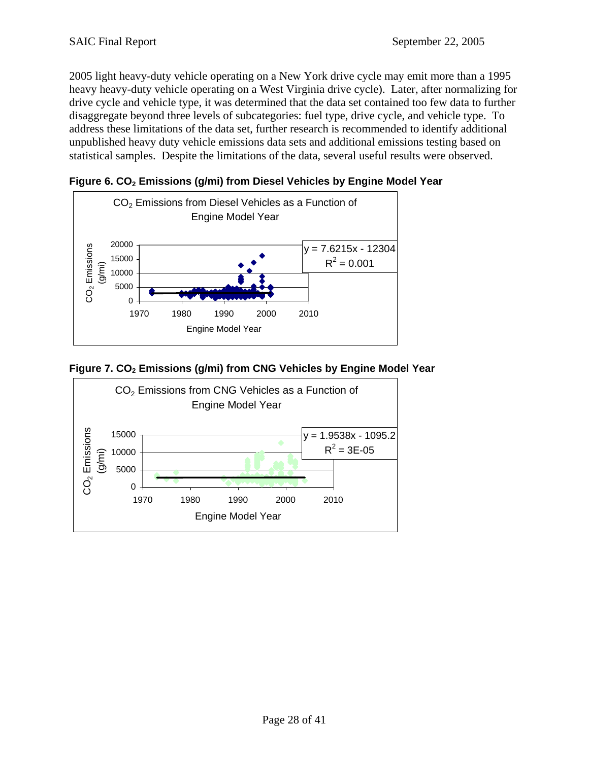2005 light heavy-duty vehicle operating on a New York drive cycle may emit more than a 1995 heavy heavy-duty vehicle operating on a West Virginia drive cycle). Later, after normalizing for drive cycle and vehicle type, it was determined that the data set contained too few data to further disaggregate beyond three levels of subcategories: fuel type, drive cycle, and vehicle type. To address these limitations of the data set, further research is recommended to identify additional unpublished heavy duty vehicle emissions data sets and additional emissions testing based on statistical samples. Despite the limitations of the data, several useful results were observed.

Figure 6. CO<sub>2</sub> Emissions (g/mi) from Diesel Vehicles by Engine Model Year



Figure 7. CO<sub>2</sub> Emissions (g/mi) from CNG Vehicles by Engine Model Year

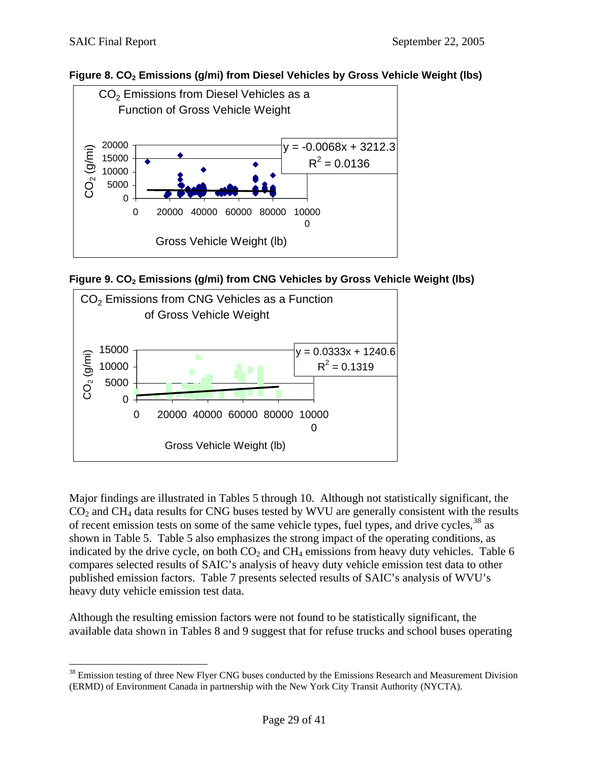$\overline{a}$ 









Major findings are illustrated in Tables 5 through 10. Although not statistically significant, the  $CO<sub>2</sub>$  and CH<sub>4</sub> data results for CNG buses tested by WVU are generally consistent with the results of recent emission tests on some of the same vehicle types, fuel types, and drive cycles,  $38$  as shown in Table 5. Table 5 also emphasizes the strong impact of the operating conditions, as indicated by the drive cycle, on both  $CO<sub>2</sub>$  and  $CH<sub>4</sub>$  emissions from heavy duty vehicles. Table 6 compares selected results of SAIC's analysis of heavy duty vehicle emission test data to other published emission factors. Table 7 presents selected results of SAIC's analysis of WVU's heavy duty vehicle emission test data.

Although the resulting emission factors were not found to be statistically significant, the available data shown in Tables 8 and 9 suggest that for refuse trucks and school buses operating

<span id="page-28-0"></span><sup>&</sup>lt;sup>38</sup> Emission testing of three New Flyer CNG buses conducted by the Emissions Research and Measurement Division (ERMD) of Environment Canada in partnership with the New York City Transit Authority (NYCTA).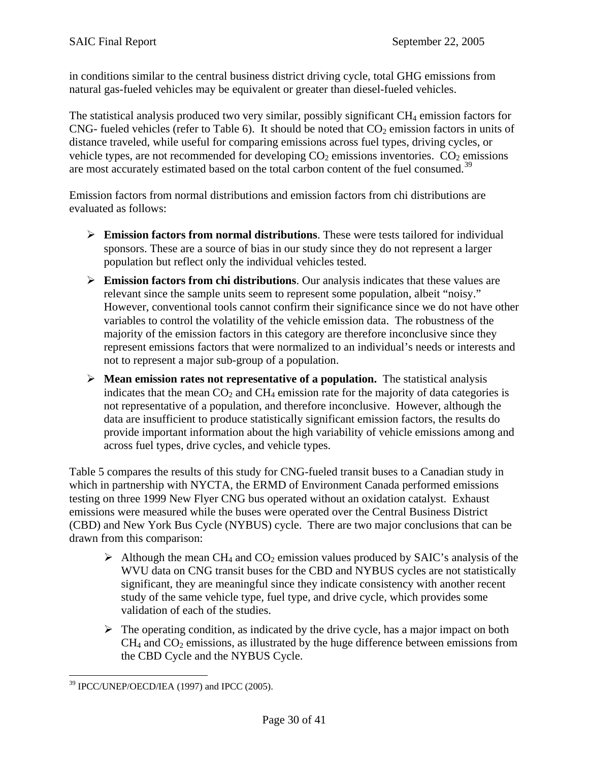in conditions similar to the central business district driving cycle, total GHG emissions from natural gas-fueled vehicles may be equivalent or greater than diesel-fueled vehicles.

The statistical analysis produced two very similar, possibly significant  $CH_4$  emission factors for CNG- fueled vehicles (refer to Table 6). It should be noted that  $CO<sub>2</sub>$  emission factors in units of distance traveled, while useful for comparing emissions across fuel types, driving cycles, or vehicle types, are not recommended for developing  $CO<sub>2</sub>$  emissions inventories.  $CO<sub>2</sub>$  emissions are most accurately estimated based on the total carbon content of the fuel consumed.<sup>[39](#page-29-0)</sup>

Emission factors from normal distributions and emission factors from chi distributions are evaluated as follows:

- ¾ **Emission factors from normal distributions**. These were tests tailored for individual sponsors. These are a source of bias in our study since they do not represent a larger population but reflect only the individual vehicles tested.
- ¾ **Emission factors from chi distributions**. Our analysis indicates that these values are relevant since the sample units seem to represent some population, albeit "noisy." However, conventional tools cannot confirm their significance since we do not have other variables to control the volatility of the vehicle emission data. The robustness of the majority of the emission factors in this category are therefore inconclusive since they represent emissions factors that were normalized to an individual's needs or interests and not to represent a major sub-group of a population.
- ¾ **Mean emission rates not representative of a population.** The statistical analysis indicates that the mean  $CO<sub>2</sub>$  and  $CH<sub>4</sub>$  emission rate for the majority of data categories is not representative of a population, and therefore inconclusive. However, although the data are insufficient to produce statistically significant emission factors, the results do provide important information about the high variability of vehicle emissions among and across fuel types, drive cycles, and vehicle types.

Table 5 compares the results of this study for CNG-fueled transit buses to a Canadian study in which in partnership with NYCTA, the ERMD of Environment Canada performed emissions testing on three 1999 New Flyer CNG bus operated without an oxidation catalyst. Exhaust emissions were measured while the buses were operated over the Central Business District (CBD) and New York Bus Cycle (NYBUS) cycle. There are two major conclusions that can be drawn from this comparison:

- $\triangleright$  Although the mean CH<sub>4</sub> and CO<sub>2</sub> emission values produced by SAIC's analysis of the WVU data on CNG transit buses for the CBD and NYBUS cycles are not statistically significant, they are meaningful since they indicate consistency with another recent study of the same vehicle type, fuel type, and drive cycle, which provides some validation of each of the studies.
- $\triangleright$  The operating condition, as indicated by the drive cycle, has a major impact on both  $CH<sub>4</sub>$  and  $CO<sub>2</sub>$  emissions, as illustrated by the huge difference between emissions from the CBD Cycle and the NYBUS Cycle.

<span id="page-29-0"></span> $\overline{a}$ 39 IPCC/UNEP/OECD/IEA (1997) and IPCC (2005).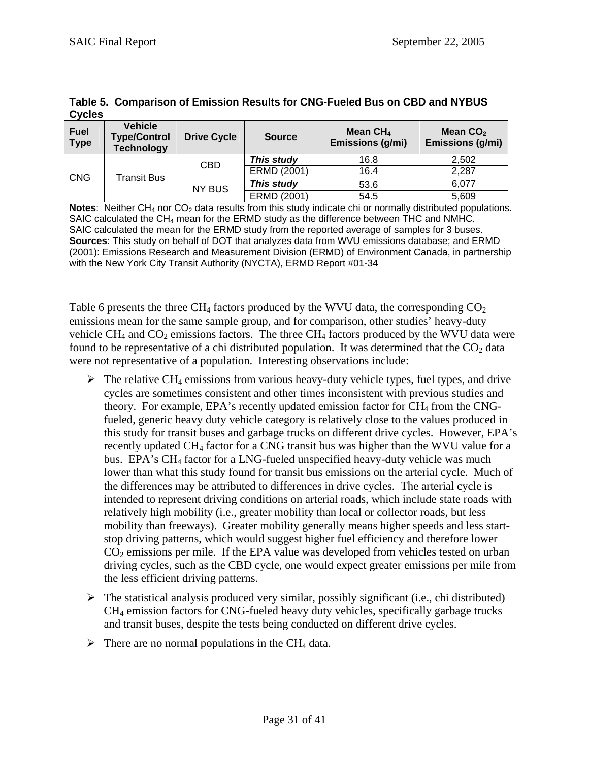| <b>CVCIES</b>                    |                                                     |                    |               |                                |                                |
|----------------------------------|-----------------------------------------------------|--------------------|---------------|--------------------------------|--------------------------------|
| <b>Fuel</b><br><b>Type</b>       | Vehicle<br><b>Type/Control</b><br><b>Technology</b> | <b>Drive Cycle</b> | <b>Source</b> | Mean $CH4$<br>Emissions (g/mi) | Mean $CO2$<br>Emissions (g/mi) |
| <b>CNG</b><br><b>Transit Bus</b> |                                                     | CBD                | This study    | 16.8                           | 2.502                          |
|                                  |                                                     | ERMD (2001)        | 16.4          | 2.287                          |                                |
|                                  | <b>NY BUS</b>                                       | This study         | 53.6          | 6,077                          |                                |
|                                  |                                                     |                    | ERMD (2001)   | 54.5                           | 5,609                          |

**Table 5. Comparison of Emission Results for CNG-Fueled Bus on CBD and NYBUS Cycles** 

**Notes:** Neither CH<sub>4</sub> nor CO<sub>2</sub> data results from this study indicate chi or normally distributed populations. SAIC calculated the  $CH<sub>4</sub>$  mean for the ERMD study as the difference between THC and NMHC. SAIC calculated the mean for the ERMD study from the reported average of samples for 3 buses. **Sources**: This study on behalf of DOT that analyzes data from WVU emissions database; and ERMD (2001): Emissions Research and Measurement Division (ERMD) of Environment Canada, in partnership with the New York City Transit Authority (NYCTA), ERMD Report #01-34

Table 6 presents the three CH<sub>4</sub> factors produced by the WVU data, the corresponding  $CO<sub>2</sub>$ emissions mean for the same sample group, and for comparison, other studies' heavy-duty vehicle  $CH_4$  and  $CO_2$  emissions factors. The three  $CH_4$  factors produced by the WVU data were found to be representative of a chi distributed population. It was determined that the  $CO<sub>2</sub>$  data were not representative of a population. Interesting observations include:

- $\triangleright$  The relative CH<sub>4</sub> emissions from various heavy-duty vehicle types, fuel types, and drive cycles are sometimes consistent and other times inconsistent with previous studies and theory. For example, EPA's recently updated emission factor for  $CH_4$  from the CNGfueled, generic heavy duty vehicle category is relatively close to the values produced in this study for transit buses and garbage trucks on different drive cycles. However, EPA's recently updated CH<sub>4</sub> factor for a CNG transit bus was higher than the WVU value for a bus. EPA's CH4 factor for a LNG-fueled unspecified heavy-duty vehicle was much lower than what this study found for transit bus emissions on the arterial cycle. Much of the differences may be attributed to differences in drive cycles. The arterial cycle is intended to represent driving conditions on arterial roads, which include state roads with relatively high mobility (i.e., greater mobility than local or collector roads, but less mobility than freeways). Greater mobility generally means higher speeds and less startstop driving patterns, which would suggest higher fuel efficiency and therefore lower  $CO<sub>2</sub>$  emissions per mile. If the EPA value was developed from vehicles tested on urban driving cycles, such as the CBD cycle, one would expect greater emissions per mile from the less efficient driving patterns.
- $\triangleright$  The statistical analysis produced very similar, possibly significant (i.e., chi distributed) CH4 emission factors for CNG-fueled heavy duty vehicles, specifically garbage trucks and transit buses, despite the tests being conducted on different drive cycles.
- $\triangleright$  There are no normal populations in the CH<sub>4</sub> data.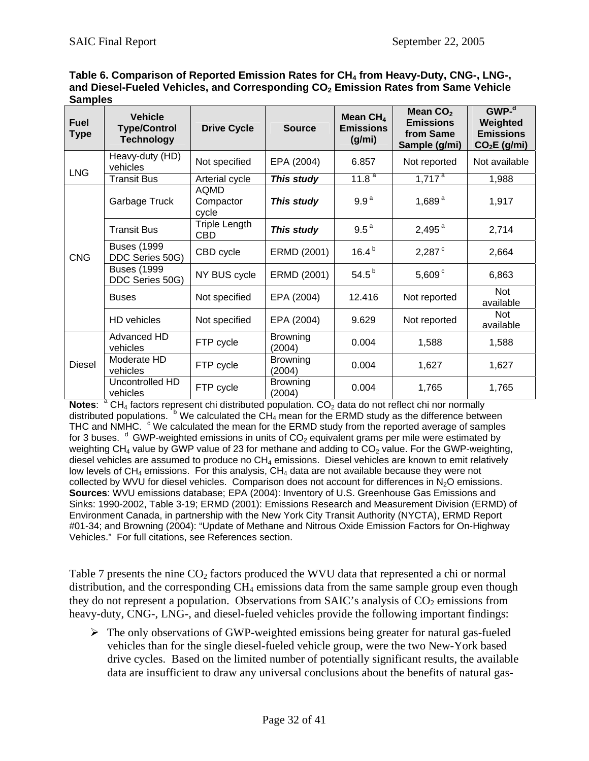| Table 6. Comparison of Reported Emission Rates for CH <sub>4</sub> from Heavy-Duty, CNG-, LNG-, |  |  |  |
|-------------------------------------------------------------------------------------------------|--|--|--|
| and Diesel-Fueled Vehicles, and Corresponding $\mathsf{CO}_2$ Emission Rates from Same Vehicle  |  |  |  |
| <b>Samples</b>                                                                                  |  |  |  |
|                                                                                                 |  |  |  |

| <b>Fuel</b><br>Type | <b>Vehicle</b><br><b>Type/Control</b><br><b>Technology</b> | <b>Drive Cycle</b>                 | <b>Source</b>             | Mean $CH4$<br><b>Emissions</b><br>(g/mi) | Mean $CO2$<br><b>Emissions</b><br>from Same<br>Sample (g/mi) | GWP <sup>d</sup><br>Weighted<br><b>Emissions</b><br>$CO2E$ (g/mi) |
|---------------------|------------------------------------------------------------|------------------------------------|---------------------------|------------------------------------------|--------------------------------------------------------------|-------------------------------------------------------------------|
| <b>LNG</b>          | Heavy-duty (HD)<br>vehicles                                | Not specified                      | EPA (2004)                | 6.857                                    | Not reported                                                 | Not available                                                     |
|                     | <b>Transit Bus</b>                                         | Arterial cycle                     | This study                | $11.8^{\overline{a}}$                    | $1,71\overline{7}^{\text{a}}$                                | 1,988                                                             |
|                     | Garbage Truck                                              | AQMD<br>Compactor<br>cycle         | This study                | 9.9 <sup>a</sup>                         | 1,689 $a$                                                    | 1,917                                                             |
|                     | <b>Transit Bus</b>                                         | <b>Triple Length</b><br><b>CBD</b> | This study                | 9.5 <sup>a</sup>                         | 2,495 $^{a}$                                                 | 2,714                                                             |
| <b>CNG</b>          | <b>Buses (1999</b><br>DDC Series 50G)                      | CBD cycle                          | ERMD (2001)               | $16.4^{b}$                               | $2,287^{\circ}$                                              | 2,664                                                             |
|                     | <b>Buses (1999</b><br>DDC Series 50G)                      | NY BUS cycle                       | ERMD (2001)               | $54.5^{b}$                               | $5,609^{\circ}$                                              | 6,863                                                             |
|                     | <b>Buses</b>                                               | Not specified                      | EPA (2004)                | 12.416                                   | Not reported                                                 | Not<br>available                                                  |
|                     | HD vehicles                                                | Not specified                      | EPA (2004)                | 9.629                                    | Not reported                                                 | <b>Not</b><br>available                                           |
|                     | Advanced HD<br>vehicles                                    | FTP cycle                          | <b>Browning</b><br>(2004) | 0.004                                    | 1,588                                                        | 1,588                                                             |
| <b>Diesel</b>       | Moderate HD<br>vehicles                                    | FTP cycle                          | <b>Browning</b><br>(2004) | 0.004                                    | 1,627                                                        | 1,627                                                             |
|                     | Uncontrolled HD<br>vehicles                                | FTP cycle                          | <b>Browning</b><br>(2004) | 0.004                                    | 1,765                                                        | 1,765                                                             |

Notes: <sup>a</sup> CH<sub>4</sub> factors represent chi distributed population. CO<sub>2</sub> data do not reflect chi nor normally distributed populations.  $b$  We calculated the CH<sub>4</sub> mean for the ERMD study as the difference between THC and NMHC.  $\degree$  We calculated the mean for the ERMD study from the reported average of samples for 3 buses.  $d$  GWP-weighted emissions in units of  $CO<sub>2</sub>$  equivalent grams per mile were estimated by weighting  $CH_4$  value by GWP value of 23 for methane and adding to  $CO_2$  value. For the GWP-weighting, diesel vehicles are assumed to produce no  $CH_4$  emissions. Diesel vehicles are known to emit relatively low levels of  $CH_4$  emissions. For this analysis,  $CH_4$  data are not available because they were not collected by WVU for diesel vehicles. Comparison does not account for differences in  $N<sub>2</sub>O$  emissions. **Sources**: WVU emissions database; EPA (2004): Inventory of U.S. Greenhouse Gas Emissions and Sinks: 1990-2002, Table 3-19; ERMD (2001): Emissions Research and Measurement Division (ERMD) of Environment Canada, in partnership with the New York City Transit Authority (NYCTA), ERMD Report #01-34; and Browning (2004): "Update of Methane and Nitrous Oxide Emission Factors for On-Highway Vehicles." For full citations, see References section.

Table 7 presents the nine CO<sub>2</sub> factors produced the WVU data that represented a chi or normal distribution, and the corresponding  $CH_4$  emissions data from the same sample group even though they do not represent a population. Observations from SAIC's analysis of  $CO<sub>2</sub>$  emissions from heavy-duty, CNG-, LNG-, and diesel-fueled vehicles provide the following important findings:

 $\triangleright$  The only observations of GWP-weighted emissions being greater for natural gas-fueled vehicles than for the single diesel-fueled vehicle group, were the two New-York based drive cycles. Based on the limited number of potentially significant results, the available data are insufficient to draw any universal conclusions about the benefits of natural gas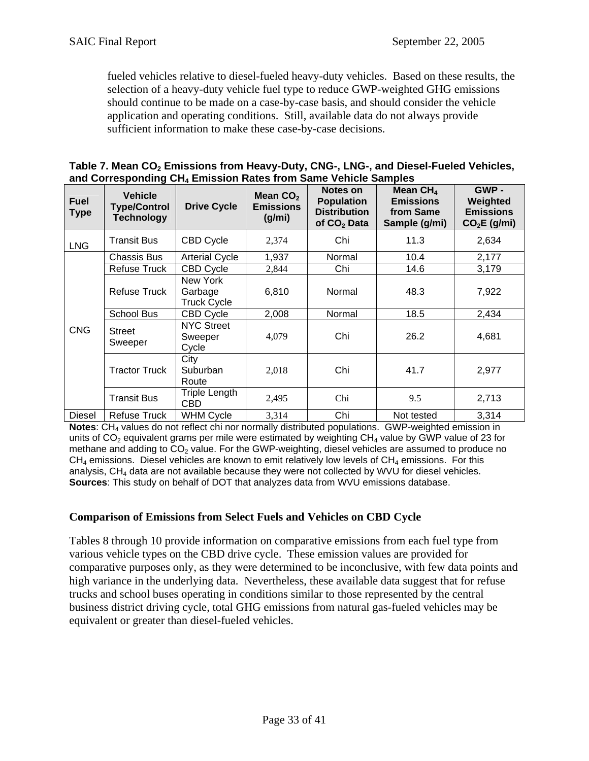fueled vehicles relative to diesel-fueled heavy-duty vehicles. Based on these results, the selection of a heavy-duty vehicle fuel type to reduce GWP-weighted GHG emissions should continue to be made on a case-by-case basis, and should consider the vehicle application and operating conditions. Still, available data do not always provide sufficient information to make these case-by-case decisions.

| Table 7. Mean CO <sub>2</sub> Emissions from Heavy-Duty, CNG-, LNG-, and Diesel-Fueled Vehicles, |
|--------------------------------------------------------------------------------------------------|
| and Corresponding CH <sub>4</sub> Emission Rates from Same Vehicle Samples                       |

| <b>Fuel</b><br><b>Type</b> | <b>Vehicle</b><br><b>Type/Control</b><br><b>Technology</b>                | <b>Drive Cycle</b>                    | Mean $CO2$<br><b>Emissions</b><br>(g/mi) | Notes on<br><b>Population</b><br><b>Distribution</b><br>of CO <sub>2</sub> Data | Mean $CH4$<br><b>Emissions</b><br>from Same<br>Sample (g/mi) | GWP -<br>Weighted<br><b>Emissions</b><br>$CO2E$ (g/mi) |
|----------------------------|---------------------------------------------------------------------------|---------------------------------------|------------------------------------------|---------------------------------------------------------------------------------|--------------------------------------------------------------|--------------------------------------------------------|
| <b>LNG</b>                 | Transit Bus                                                               | <b>CBD Cycle</b>                      | 2,374                                    | Chi                                                                             | 11.3                                                         | 2,634                                                  |
|                            | <b>Chassis Bus</b>                                                        | <b>Arterial Cycle</b>                 | 1,937                                    | Normal                                                                          | 10.4                                                         | 2,177                                                  |
|                            | <b>Refuse Truck</b>                                                       | <b>CBD Cycle</b>                      | 2,844                                    | Chi                                                                             | 14.6                                                         | 3,179                                                  |
|                            | New York<br><b>Refuse Truck</b><br>6,810<br>Garbage<br><b>Truck Cycle</b> |                                       | Normal                                   | 48.3                                                                            | 7,922                                                        |                                                        |
|                            | School Bus                                                                | <b>CBD Cycle</b>                      | 2,008                                    | Normal                                                                          | 18.5                                                         | 2,434                                                  |
| <b>CNG</b>                 | Street<br>Sweeper                                                         | <b>NYC Street</b><br>Sweeper<br>Cycle | 4,079                                    | Chi                                                                             | 26.2                                                         | 4,681                                                  |
|                            | <b>Tractor Truck</b>                                                      | City<br>Suburban<br>Route             | 2,018                                    | Chi                                                                             | 41.7                                                         | 2,977                                                  |
|                            | <b>Transit Bus</b>                                                        | Triple Length<br><b>CBD</b>           | 2,495                                    | Chi                                                                             | 9.5                                                          | 2,713                                                  |
| <b>Diesel</b>              | <b>Refuse Truck</b>                                                       | <b>WHM Cycle</b>                      | 3,314                                    | Chi                                                                             | Not tested                                                   | 3,314                                                  |

**Notes:** CH<sub>4</sub> values do not reflect chi nor normally distributed populations. GWP-weighted emission in units of  $CO<sub>2</sub>$  equivalent grams per mile were estimated by weighting  $CH<sub>4</sub>$  value by GWP value of 23 for methane and adding to  $CO<sub>2</sub>$  value. For the GWP-weighting, diesel vehicles are assumed to produce no  $CH<sub>4</sub>$  emissions. Diesel vehicles are known to emit relatively low levels of  $CH<sub>4</sub>$  emissions. For this analysis,  $CH<sub>4</sub>$  data are not available because they were not collected by WVU for diesel vehicles. **Sources**: This study on behalf of DOT that analyzes data from WVU emissions database.

### **Comparison of Emissions from Select Fuels and Vehicles on CBD Cycle**

Tables 8 through 10 provide information on comparative emissions from each fuel type from various vehicle types on the CBD drive cycle. These emission values are provided for comparative purposes only, as they were determined to be inconclusive, with few data points and high variance in the underlying data. Nevertheless, these available data suggest that for refuse trucks and school buses operating in conditions similar to those represented by the central business district driving cycle, total GHG emissions from natural gas-fueled vehicles may be equivalent or greater than diesel-fueled vehicles.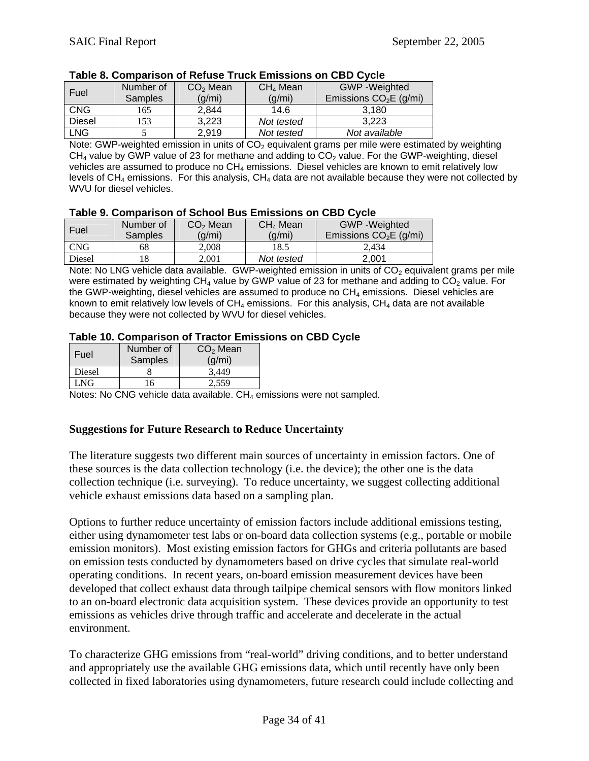| Fuel          | Number of      | CO <sub>2</sub> Mean | CH <sub>4</sub> Mean | <b>GWP</b> - Weighted   |  |  |
|---------------|----------------|----------------------|----------------------|-------------------------|--|--|
|               | <b>Samples</b> | (g/mi)               | (g/mi)               | Emissions $CO2E$ (g/mi) |  |  |
| <b>CNG</b>    | 165            | 2,844                | 14.6                 | 3.180                   |  |  |
| <b>Diesel</b> | 153            | 3,223                | Not tested           | 3.223                   |  |  |
| <b>LNG</b>    |                | 2,919                | Not tested           | Not available           |  |  |

#### **Table 8. Comparison of Refuse Truck Emissions on CBD Cycle**

Note: GWP-weighted emission in units of  $CO<sub>2</sub>$  equivalent grams per mile were estimated by weighting  $CH<sub>4</sub>$  value by GWP value of 23 for methane and adding to  $CO<sub>2</sub>$  value. For the GWP-weighting, diesel vehicles are assumed to produce no CH<sub>4</sub> emissions. Diesel vehicles are known to emit relatively low levels of  $CH_4$  emissions. For this analysis,  $CH_4$  data are not available because they were not collected by WVU for diesel vehicles.

#### **Table 9. Comparison of School Bus Emissions on CBD Cycle**

| Fuel          | Number of<br>Samples | CO <sub>2</sub> Mean<br>(g/mi) | CH <sub>4</sub> Mean<br>(g/mi) | <b>GWP</b> - Weighted<br>Emissions $CO2E$ (g/mi) |
|---------------|----------------------|--------------------------------|--------------------------------|--------------------------------------------------|
| CNG           | 68                   | 2.008                          | 18.5                           | 2.434                                            |
| <b>Diesel</b> | 18                   | 2.001                          | Not tested                     | 2.001                                            |

Note: No LNG vehicle data available. GWP-weighted emission in units of  $CO<sub>2</sub>$  equivalent grams per mile were estimated by weighting  $CH_4$  value by GWP value of 23 for methane and adding to  $CO_2$  value. For the GWP-weighting, diesel vehicles are assumed to produce no  $CH<sub>4</sub>$  emissions. Diesel vehicles are known to emit relatively low levels of  $CH_4$  emissions. For this analysis,  $CH_4$  data are not available because they were not collected by WVU for diesel vehicles.

#### **Table 10. Comparison of Tractor Emissions on CBD Cycle**

| Fuel   | Number of<br>Samples | $CO2$ Mean<br>(g/mi) |
|--------|----------------------|----------------------|
| Diesel |                      | 3.449                |
| LNG.   | 16                   | 2.559                |

Notes: No CNG vehicle data available.  $CH_4$  emissions were not sampled.

#### **Suggestions for Future Research to Reduce Uncertainty**

The literature suggests two different main sources of uncertainty in emission factors. One of these sources is the data collection technology (i.e. the device); the other one is the data collection technique (i.e. surveying). To reduce uncertainty, we suggest collecting additional vehicle exhaust emissions data based on a sampling plan.

Options to further reduce uncertainty of emission factors include additional emissions testing, either using dynamometer test labs or on-board data collection systems (e.g., portable or mobile emission monitors). Most existing emission factors for GHGs and criteria pollutants are based on emission tests conducted by dynamometers based on drive cycles that simulate real-world operating conditions. In recent years, on-board emission measurement devices have been developed that collect exhaust data through tailpipe chemical sensors with flow monitors linked to an on-board electronic data acquisition system. These devices provide an opportunity to test emissions as vehicles drive through traffic and accelerate and decelerate in the actual environment.

To characterize GHG emissions from "real-world" driving conditions, and to better understand and appropriately use the available GHG emissions data, which until recently have only been collected in fixed laboratories using dynamometers, future research could include collecting and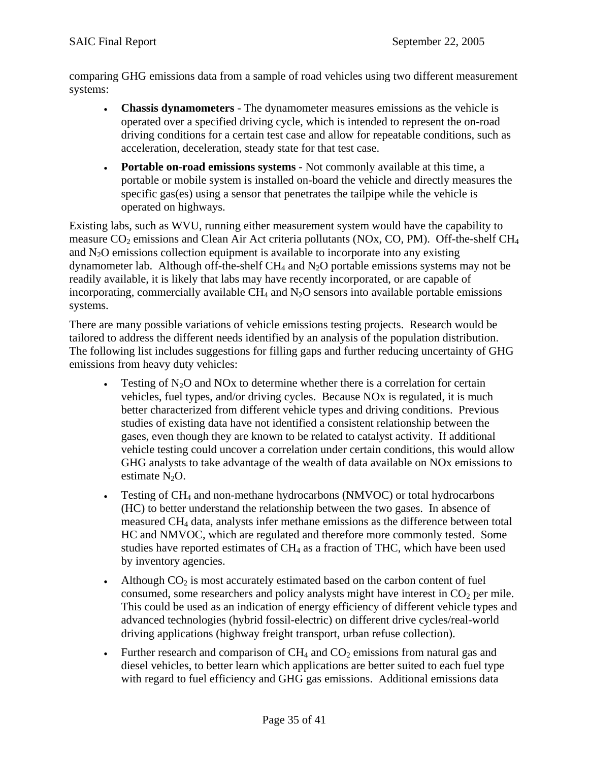comparing GHG emissions data from a sample of road vehicles using two different measurement systems:

- **Chassis dynamometers** The dynamometer measures emissions as the vehicle is operated over a specified driving cycle, which is intended to represent the on-road driving conditions for a certain test case and allow for repeatable conditions, such as acceleration, deceleration, steady state for that test case.
- **Portable on-road emissions systems** Not commonly available at this time, a portable or mobile system is installed on-board the vehicle and directly measures the specific gas(es) using a sensor that penetrates the tailpipe while the vehicle is operated on highways.

Existing labs, such as WVU, running either measurement system would have the capability to measure  $CO<sub>2</sub>$  emissions and Clean Air Act criteria pollutants (NOx, CO, PM). Off-the-shelf CH<sub>4</sub> and  $N_2O$  emissions collection equipment is available to incorporate into any existing dynamometer lab. Although off-the-shelf  $CH_4$  and  $N_2O$  portable emissions systems may not be readily available, it is likely that labs may have recently incorporated, or are capable of incorporating, commercially available  $CH_4$  and  $N_2O$  sensors into available portable emissions systems.

There are many possible variations of vehicle emissions testing projects. Research would be tailored to address the different needs identified by an analysis of the population distribution. The following list includes suggestions for filling gaps and further reducing uncertainty of GHG emissions from heavy duty vehicles:

- Testing of  $N_2O$  and  $NOX$  to determine whether there is a correlation for certain vehicles, fuel types, and/or driving cycles. Because NOx is regulated, it is much better characterized from different vehicle types and driving conditions. Previous studies of existing data have not identified a consistent relationship between the gases, even though they are known to be related to catalyst activity. If additional vehicle testing could uncover a correlation under certain conditions, this would allow GHG analysts to take advantage of the wealth of data available on NOx emissions to estimate  $N_2O$ .
- Testing of CH<sub>4</sub> and non-methane hydrocarbons (NMVOC) or total hydrocarbons (HC) to better understand the relationship between the two gases. In absence of measured CH4 data, analysts infer methane emissions as the difference between total HC and NMVOC, which are regulated and therefore more commonly tested. Some studies have reported estimates of  $CH_4$  as a fraction of THC, which have been used by inventory agencies.
- Although  $CO<sub>2</sub>$  is most accurately estimated based on the carbon content of fuel consumed, some researchers and policy analysts might have interest in  $CO<sub>2</sub>$  per mile. This could be used as an indication of energy efficiency of different vehicle types and advanced technologies (hybrid fossil-electric) on different drive cycles/real-world driving applications (highway freight transport, urban refuse collection).
- Further research and comparison of  $CH_4$  and  $CO_2$  emissions from natural gas and diesel vehicles, to better learn which applications are better suited to each fuel type with regard to fuel efficiency and GHG gas emissions. Additional emissions data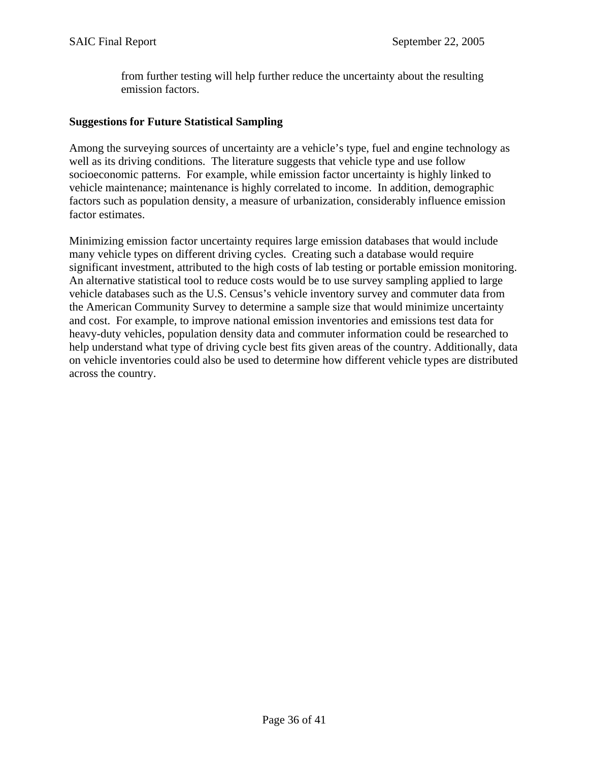from further testing will help further reduce the uncertainty about the resulting emission factors.

### **Suggestions for Future Statistical Sampling**

Among the surveying sources of uncertainty are a vehicle's type, fuel and engine technology as well as its driving conditions. The literature suggests that vehicle type and use follow socioeconomic patterns. For example, while emission factor uncertainty is highly linked to vehicle maintenance; maintenance is highly correlated to income. In addition, demographic factors such as population density, a measure of urbanization, considerably influence emission factor estimates.

Minimizing emission factor uncertainty requires large emission databases that would include many vehicle types on different driving cycles. Creating such a database would require significant investment, attributed to the high costs of lab testing or portable emission monitoring. An alternative statistical tool to reduce costs would be to use survey sampling applied to large vehicle databases such as the U.S. Census's vehicle inventory survey and commuter data from the American Community Survey to determine a sample size that would minimize uncertainty and cost. For example, to improve national emission inventories and emissions test data for heavy-duty vehicles, population density data and commuter information could be researched to help understand what type of driving cycle best fits given areas of the country. Additionally, data on vehicle inventories could also be used to determine how different vehicle types are distributed across the country.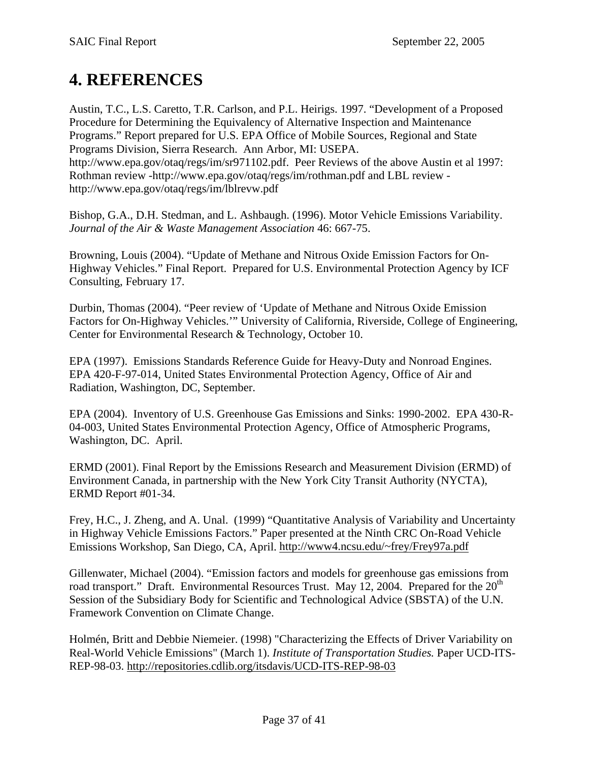# <span id="page-36-0"></span>**4. REFERENCES**

Austin, T.C., L.S. Caretto, T.R. Carlson, and P.L. Heirigs. 1997. "Development of a Proposed Procedure for Determining the Equivalency of Alternative Inspection and Maintenance Programs." Report prepared for U.S. EPA Office of Mobile Sources, Regional and State Programs Division, Sierra Research. Ann Arbor, MI: USEPA. http://www.epa.gov/otaq/regs/im/sr971102.pdf. Peer Reviews of the above Austin et al 1997: Rothman review -http://www.epa.gov/otaq/regs/im/rothman.pdf and LBL review http://www.epa.gov/otaq/regs/im/lblrevw.pdf

Bishop, G.A., D.H. Stedman, and L. Ashbaugh. (1996). Motor Vehicle Emissions Variability. *Journal of the Air & Waste Management Association* 46: 667-75.

Browning, Louis (2004). "Update of Methane and Nitrous Oxide Emission Factors for On-Highway Vehicles." Final Report. Prepared for U.S. Environmental Protection Agency by ICF Consulting, February 17.

Durbin, Thomas (2004). "Peer review of 'Update of Methane and Nitrous Oxide Emission Factors for On-Highway Vehicles.'" University of California, Riverside, College of Engineering, Center for Environmental Research & Technology, October 10.

EPA (1997). Emissions Standards Reference Guide for Heavy-Duty and Nonroad Engines. EPA 420-F-97-014, United States Environmental Protection Agency, Office of Air and Radiation, Washington, DC, September.

EPA (2004). Inventory of U.S. Greenhouse Gas Emissions and Sinks: 1990-2002. EPA 430-R-04-003, United States Environmental Protection Agency, Office of Atmospheric Programs, Washington, DC. April.

ERMD (2001). Final Report by the Emissions Research and Measurement Division (ERMD) of Environment Canada, in partnership with the New York City Transit Authority (NYCTA), ERMD Report #01-34.

Frey, H.C., J. Zheng, and A. Unal. (1999) "Quantitative Analysis of Variability and Uncertainty in Highway Vehicle Emissions Factors." Paper presented at the Ninth CRC On-Road Vehicle Emissions Workshop, San Diego, CA, April. [http://www4.ncsu.edu/~frey/Frey97a.pdf](http://www4.ncsu.edu/%7Efrey/Frey97a.pdf)

Gillenwater, Michael (2004). "Emission factors and models for greenhouse gas emissions from road transport." Draft. Environmental Resources Trust. May 12, 2004. Prepared for the  $20<sup>th</sup>$ Session of the Subsidiary Body for Scientific and Technological Advice (SBSTA) of the U.N. Framework Convention on Climate Change.

Holmén, Britt and Debbie Niemeier. (1998) "Characterizing the Effects of Driver Variability on Real-World Vehicle Emissions" (March 1). *Institute of Transportation Studies.* Paper UCD-ITS-REP-98-03. <http://repositories.cdlib.org/itsdavis/UCD-ITS-REP-98-03>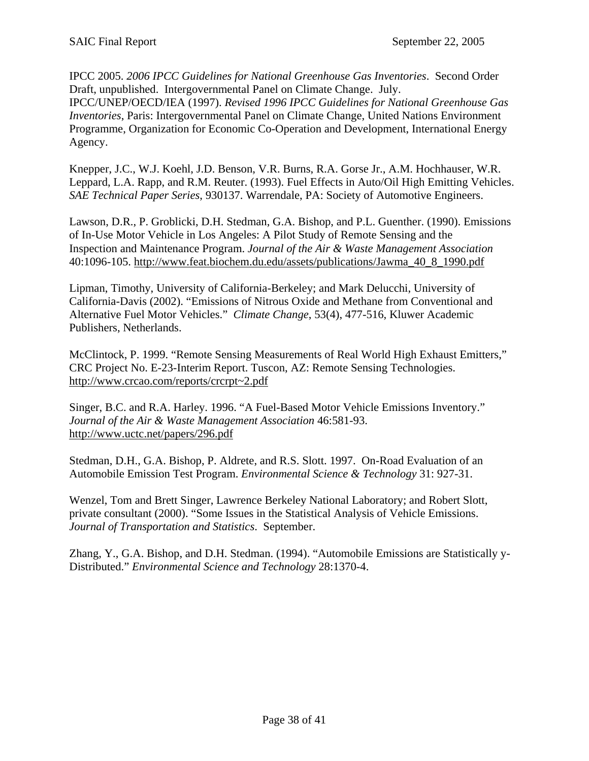IPCC 2005. *2006 IPCC Guidelines for National Greenhouse Gas Inventories*. Second Order Draft, unpublished. Intergovernmental Panel on Climate Change. July. IPCC/UNEP/OECD/IEA (1997). *Revised 1996 IPCC Guidelines for National Greenhouse Gas Inventories*, Paris: Intergovernmental Panel on Climate Change, United Nations Environment Programme, Organization for Economic Co-Operation and Development, International Energy Agency.

Knepper, J.C., W.J. Koehl, J.D. Benson, V.R. Burns, R.A. Gorse Jr., A.M. Hochhauser, W.R. Leppard, L.A. Rapp, and R.M. Reuter. (1993). Fuel Effects in Auto/Oil High Emitting Vehicles. *SAE Technical Paper Series*, 930137. Warrendale, PA: Society of Automotive Engineers.

Lawson, D.R., P. Groblicki, D.H. Stedman, G.A. Bishop, and P.L. Guenther. (1990). Emissions of In-Use Motor Vehicle in Los Angeles: A Pilot Study of Remote Sensing and the Inspection and Maintenance Program. *Journal of the Air & Waste Management Association*  40:1096-105. [http://www.feat.biochem.du.edu/assets/publications/Jawma\\_40\\_8\\_1990.pdf](http://www.feat.biochem.du.edu/assets/publications/Jawma_40_8_1990.pdf)

Lipman, Timothy, University of California-Berkeley; and Mark Delucchi, University of California-Davis (2002). "Emissions of Nitrous Oxide and Methane from Conventional and Alternative Fuel Motor Vehicles." *Climate Change*, 53(4), 477-516, Kluwer Academic Publishers, Netherlands.

McClintock, P. 1999. "Remote Sensing Measurements of Real World High Exhaust Emitters," CRC Project No. E-23-Interim Report. Tuscon, AZ: Remote Sensing Technologies. [http://www.crcao.com/reports/crcrpt~2.pdf](http://www.crcao.com/reports/crcrpt%7E2.pdf)

Singer, B.C. and R.A. Harley. 1996. "A Fuel-Based Motor Vehicle Emissions Inventory." *Journal of the Air & Waste Management Association* 46:581-93. <http://www.uctc.net/papers/296.pdf>

Stedman, D.H., G.A. Bishop, P. Aldrete, and R.S. Slott. 1997. On-Road Evaluation of an Automobile Emission Test Program. *Environmental Science & Technology* 31: 927-31.

Wenzel, Tom and Brett Singer, Lawrence Berkeley National Laboratory; and Robert Slott, private consultant (2000). "Some Issues in the Statistical Analysis of Vehicle Emissions. *Journal of Transportation and Statistics*. September.

Zhang, Y., G.A. Bishop, and D.H. Stedman. (1994). "Automobile Emissions are Statistically y-Distributed." *Environmental Science and Technology* 28:1370-4.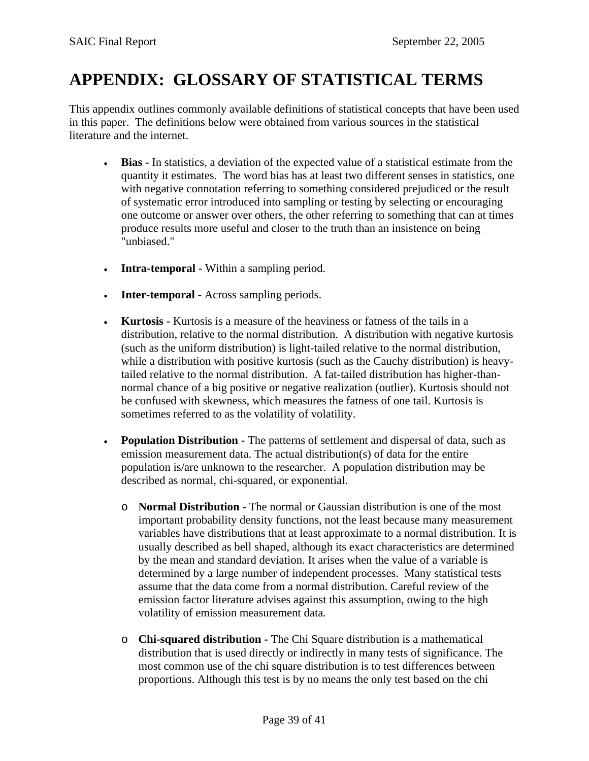# <span id="page-38-0"></span>**APPENDIX: GLOSSARY OF STATISTICAL TERMS**

This appendix outlines commonly available definitions of statistical concepts that have been used in this paper. The definitions below were obtained from various sources in the statistical literature and the internet.

- **Bias** In statistics, a deviation of the expected value of a statistical estimate from the quantity it estimates. The word bias has at least two different senses in statistics, one with negative connotation referring to something considered prejudiced or the result of systematic error introduced into sampling or testing by selecting or encouraging one outcome or answer over others, the other referring to something that can at times produce results more useful and closer to the truth than an insistence on being "unbiased."
- **Intra-temporal** Within a sampling period.
- **Inter-temporal** Across sampling periods.
- **Kurtosis** Kurtosis is a measure of the heaviness or fatness of the tails in a distribution, relative to the normal distribution. A distribution with negative kurtosis (such as the uniform distribution) is light-tailed relative to the normal distribution, while a distribution with positive kurtosis (such as the Cauchy distribution) is heavytailed relative to the normal distribution.A fat-tailed distribution has higher-thannormal chance of a big positive or negative realization (outlier). Kurtosis should not be confused with skewness, which measures the fatness of one tail. Kurtosis is sometimes referred to as the volatility of volatility.
- **Population Distribution -** The patterns of settlement and dispersal of data, such as emission measurement data. The actual distribution(s) of data for the entire population is/are unknown to the researcher. A population distribution may be described as normal, chi-squared, or exponential.
	- o **Normal Distribution** The normal or Gaussian distribution is one of the most important probability density functions, not the least because many measurement variables have distributions that at least approximate to a normal distribution. It is usually described as bell shaped, although its exact characteristics are determined by the mean and standard deviation. It arises when the value of a variable is determined by a large number of independent processes. Many statistical tests assume that the data come from a normal distribution. Careful review of the emission factor literature advises against this assumption, owing to the high volatility of emission measurement data*.*
	- o **Chi-squared distribution** The Chi Square distribution is a mathematical distribution that is used directly or indirectly in many tests of significance. The most common use of the chi square distribution is to test differences between proportions. Although this test is by no means the only test based on the chi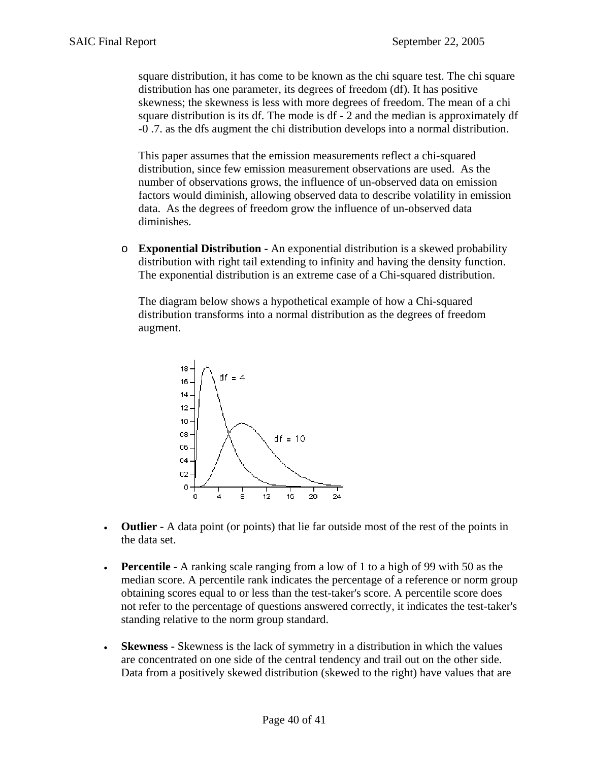square distribution, it has come to be known as the chi square test. The chi square distribution has one parameter, its degrees of freedom (df). It has positive skewness; the skewness is less with more degrees of freedom. The mean of a chi square distribution is its df. The mode is df - 2 and the median is approximately df -0 .7. as the dfs augment the chi distribution develops into a normal distribution.

This paper assumes that the emission measurements reflect a chi-squared distribution, since few emission measurement observations are used. As the number of observations grows, the influence of un-observed data on emission factors would diminish, allowing observed data to describe volatility in emission data. As the degrees of freedom grow the influence of un-observed data diminishes.

o **Exponential Distribution -** An exponential distribution is a skewed probability distribution with right tail extending to infinity and having the density function. The exponential distribution is an extreme case of a Chi-squared distribution.

The diagram below shows a hypothetical example of how a Chi-squared distribution transforms into a normal distribution as the degrees of freedom augment.



- **Outlier** A data point (or points) that lie far outside most of the rest of the points in the data set.
- **Percentile** A ranking scale ranging from a low of 1 to a high of 99 with 50 as the median score. A percentile rank indicates the percentage of a reference or norm group obtaining scores equal to or less than the test-taker's score. A percentile score does not refer to the percentage of questions answered correctly, it indicates the test-taker's standing relative to the norm group standard.
- **Skewness** Skewness is the lack of symmetry in a distribution in which the values are concentrated on one side of the central tendency and trail out on the other side. Data from a positively skewed distribution (skewed to the right) have values that are